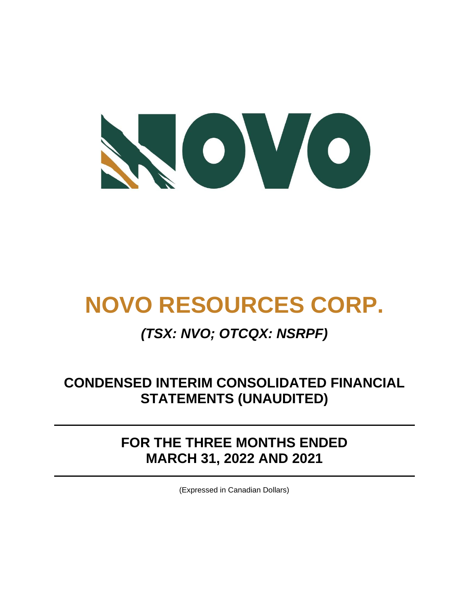

# **NOVO RESOURCES CORP.**

# *(TSX: NVO; OTCQX: NSRPF)*

# **CONDENSED INTERIM CONSOLIDATED FINANCIAL STATEMENTS (UNAUDITED)**

# **FOR THE THREE MONTHS ENDED MARCH 31, 2022 AND 2021**

(Expressed in Canadian Dollars)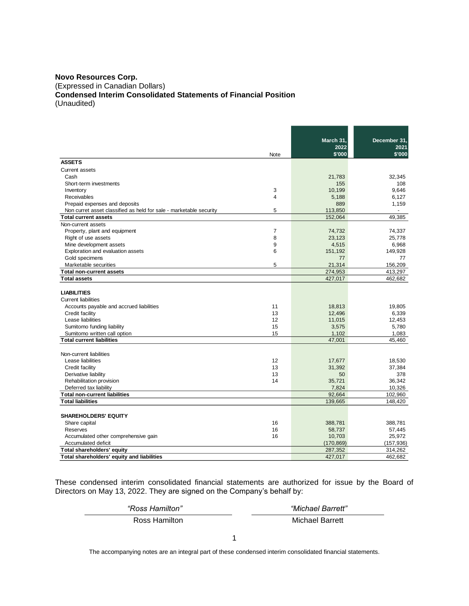#### **Novo Resources Corp.**

(Expressed in Canadian Dollars)

**Condensed Interim Consolidated Statements of Financial Position**

(Unaudited)

|                                                                    |                | March 31,  | December 31, |
|--------------------------------------------------------------------|----------------|------------|--------------|
|                                                                    |                | 2022       | 2021         |
|                                                                    | Note           | \$'000     | \$'000       |
| <b>ASSETS</b>                                                      |                |            |              |
| <b>Current assets</b>                                              |                |            |              |
| Cash                                                               |                | 21,783     | 32,345       |
| Short-term investments                                             |                | 155        | 108          |
| Inventory                                                          | 3              | 10,199     | 9,646        |
| <b>Receivables</b>                                                 | 4              | 5,188      | 6,127        |
| Prepaid expenses and deposits                                      |                | 889        | 1,159        |
| Non curret asset classified as held for sale - marketable security | 5              | 113,850    |              |
| <b>Total current assets</b>                                        |                | 152,064    | 49,385       |
| Non-current assets                                                 |                |            |              |
| Property, plant and equipment                                      | $\overline{7}$ | 74,732     | 74,337       |
| Right of use assets                                                | 8              | 23,123     | 25,778       |
| Mine development assets                                            | 9              | 4,515      | 6,968        |
| Exploration and evaluation assets                                  | 6              | 151,192    | 149,928      |
| Gold specimens                                                     |                | 77         | 77           |
| Marketable securities                                              | 5              | 21,314     | 156,209      |
| <b>Total non-current assets</b>                                    |                | 274,953    | 413,297      |
| <b>Total assets</b>                                                |                | 427,017    | 462,682      |
|                                                                    |                |            |              |
|                                                                    |                |            |              |
| <b>LIABILITIES</b>                                                 |                |            |              |
| <b>Current liabilities</b>                                         |                |            |              |
| Accounts payable and accrued liabilities                           | 11             | 18,813     | 19,805       |
| Credit facility                                                    | 13             | 12,496     | 6,339        |
| Lease liabilities                                                  | 12             | 11,015     | 12,453       |
| Sumitomo funding liability                                         | 15             | 3,575      | 5,780        |
| Sumitomo written call option                                       | 15             | 1,102      | 1,083        |
| <b>Total current liabilities</b>                                   |                | 47,001     | 45,460       |
|                                                                    |                |            |              |
| Non-current liabilities                                            |                |            |              |
| Lease liabilities                                                  | 12             | 17,677     | 18,530       |
| Credit facility                                                    | 13             | 31,392     | 37,384       |
| Derivative liability                                               | 13             | 50         | 378          |
| Rehabilitation provision                                           | 14             | 35,721     | 36,342       |
| Deferred tax liability                                             |                | 7,824      | 10,326       |
| <b>Total non-current liabilities</b>                               |                | 92,664     | 102,960      |
| <b>Total liabilities</b>                                           |                | 139,665    | 148,420      |
|                                                                    |                |            |              |
| <b>SHAREHOLDERS' EQUITY</b>                                        |                |            |              |
| Share capital                                                      | 16             | 388,781    | 388,781      |
| Reserves                                                           | 16             | 58,737     | 57,445       |
| Accumulated other comprehensive gain                               | 16             | 10,703     | 25,972       |
| Accumulated deficit                                                |                | (170, 869) | (157, 936)   |
| Total shareholders' equity                                         |                | 287,352    | 314,262      |
| Total shareholders' equity and liabilities                         |                | 427,017    | 462,682      |

These condensed interim consolidated financial statements are authorized for issue by the Board of Directors on May 13, 2022. They are signed on the Company's behalf by:

 *"Ross Hamilton" "Michael Barrett"* Ross Hamilton **Michael Barrett** 

The accompanying notes are an integral part of these condensed interim consolidated financial statements.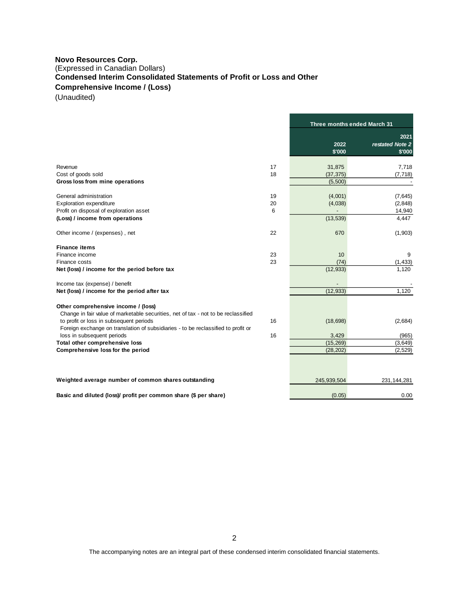# **Novo Resources Corp.** (Expressed in Canadian Dollars) **Condensed Interim Consolidated Statements of Profit or Loss and Other Comprehensive Income / (Loss)**

(Unaudited)

|                                                                                                                           |    | Three months ended March 31 |                                   |
|---------------------------------------------------------------------------------------------------------------------------|----|-----------------------------|-----------------------------------|
|                                                                                                                           |    | 2022<br>\$'000              | 2021<br>restated Note 2<br>\$'000 |
| Revenue                                                                                                                   | 17 | 31,875                      | 7,718                             |
| Cost of goods sold                                                                                                        | 18 | (37, 375)                   | (7, 718)                          |
| Gross loss from mine operations                                                                                           |    | (5,500)                     |                                   |
| General administration                                                                                                    | 19 | (4,001)                     | (7,645)                           |
| <b>Exploration expenditure</b>                                                                                            | 20 | (4,038)                     | (2, 848)                          |
| Profit on disposal of exploration asset                                                                                   | 6  |                             | 14,940                            |
| (Loss) / income from operations                                                                                           |    | (13, 539)                   | 4,447                             |
| Other income / (expenses), net                                                                                            | 22 | 670                         | (1,903)                           |
| <b>Finance items</b>                                                                                                      |    |                             |                                   |
| Finance income                                                                                                            | 23 | 10                          | 9                                 |
| Finance costs                                                                                                             | 23 | (74)                        | (1, 433)                          |
| Net (loss) / income for the period before tax                                                                             |    | (12, 933)                   | 1,120                             |
| Income tax (expense) / benefit                                                                                            |    |                             |                                   |
| Net (loss) / income for the period after tax                                                                              |    | (12, 933)                   | 1,120                             |
| Other comprehensive income / (loss)<br>Change in fair value of marketable securities, net of tax - not to be reclassified |    |                             |                                   |
| to profit or loss in subsequent periods                                                                                   | 16 | (18, 698)                   | (2,684)                           |
| Foreign exchange on translation of subsidiaries - to be reclassified to profit or<br>loss in subsequent periods           | 16 | 3,429                       | (965)                             |
| Total other comprehensive loss                                                                                            |    | (15, 269)                   | (3,649)                           |
| Comprehensive loss for the period                                                                                         |    | (28, 202)                   | (2,529)                           |
|                                                                                                                           |    |                             |                                   |
| Weighted average number of common shares outstanding                                                                      |    | 245,939,504                 | 231, 144, 281                     |
| Basic and diluted (loss)/ profit per common share (\$ per share)                                                          |    | (0.05)                      | 0.00                              |

The accompanying notes are an integral part of these condensed interim consolidated financial statements.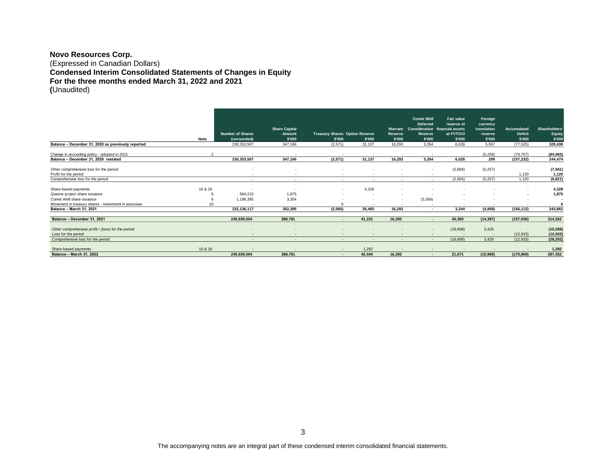#### **Novo Resources Corp.** (Expressed in Canadian Dollars) **Condensed Interim Consolidated Statements of Changes in Equity For the three months ended March 31, 2022 and 2021 (**Unaudited)

|                                                       |         |                          |                          |                                       |                          |                          | <b>Comet Well</b><br><b>Deferred</b> | <b>Fair value</b><br>reserve of        | Foreign<br>currency      |                |                          |
|-------------------------------------------------------|---------|--------------------------|--------------------------|---------------------------------------|--------------------------|--------------------------|--------------------------------------|----------------------------------------|--------------------------|----------------|--------------------------|
|                                                       |         |                          | <b>Share Capital</b>     |                                       |                          |                          |                                      | Warrant Consideration financial assets | translation              | Accumulated    | <b>Shareholders</b>      |
|                                                       |         | <b>Number of Shares</b>  | Amount                   | <b>Treasury Shares Option Reserve</b> |                          | Reserve                  | Reserve                              | at FVTOCI                              | reserve                  | <b>Deficit</b> | Equity                   |
|                                                       | Note    | (unrounded)              | \$'000                   | \$'000                                | \$'000                   | \$'000                   | \$'000                               | \$'000                                 | \$'000                   | \$'000         | \$'000                   |
| Balance - December 31, 2020 as previously reported    |         | 230, 353, 507            | 347.166                  | (2,571)                               | 31,137                   | 16.293                   | 3.354                                | 6,028                                  | 5,557                    | (77, 525)      | 329,439                  |
| Change in accounting policy - adopted in 2021         |         | $\overline{\phantom{a}}$ |                          |                                       | $\overline{\phantom{a}}$ | $\overline{\phantom{a}}$ | . .                                  | $\overline{\phantom{a}}$               | (5, 258)                 | (79, 707)      | (84, 965)                |
| Balance - December 31, 2020 restated                  |         | 230,353,507              | 347,166                  | (2,571)                               | 31,137                   | 16.293                   | 3.354                                | 6,028                                  | 299                      | (157, 232)     | 244,474                  |
| Other comprehensive loss for the period               |         |                          |                          |                                       |                          |                          |                                      |                                        |                          |                |                          |
|                                                       |         | .                        |                          |                                       |                          |                          |                                      | (2,684)                                | (5,257)                  |                | (7, 941)                 |
| Profit for the period                                 |         |                          |                          |                                       |                          |                          |                                      | $\overline{\phantom{a}}$               | $\sim$                   | 1.120          | 1,120                    |
| Comprehensive loss for the period                     |         | $\sim$                   | $\sim$                   | $\overline{\phantom{a}}$              | $\sim$                   | $\overline{\phantom{a}}$ |                                      | (2,684)                                | (5, 257)                 | 1,120          | (6, 821)                 |
| Share-based payments                                  | 16 & 19 | $\sim$                   | . .                      | $\sim$                                | 4,328                    | $\overline{\phantom{a}}$ |                                      |                                        |                          | $\sim$         | 4,328                    |
| Queens project share issuance                         |         | 584.215                  | 1.875                    |                                       | $\overline{\phantom{a}}$ | $\sim$                   |                                      |                                        |                          |                | 1.875                    |
| Comet Well share issuance                             |         | 1,198,395                | 3,354                    |                                       |                          | $\overline{\phantom{0}}$ | (3, 354)                             |                                        |                          | ٠              | $\overline{\phantom{a}}$ |
| Movement in treasury shares - Investment in associate |         |                          |                          |                                       | $\overline{\phantom{a}}$ |                          |                                      | $\overline{\phantom{a}}$               | $\overline{\phantom{a}}$ | $\sim$         |                          |
| <b>Balance - March 31, 2021</b>                       |         | 232, 136, 117            | 352.395                  | (2.565)                               | 35.465                   | 16.293                   | . .                                  | 3,344                                  | (4,958)                  | (156, 112)     | 243,862                  |
| Balance - December 31, 2021                           |         | 245,939,504              | 388,781                  | $\overline{\phantom{a}}$              | 41,152                   | 16.293                   |                                      | 40.369                                 | (14, 397)                | (157, 936)     | 314,262                  |
|                                                       |         |                          |                          |                                       |                          |                          |                                      |                                        |                          |                |                          |
| Other comprehensive profit / (loss) for the period    |         | <b>COLUM</b>             |                          |                                       |                          | $\overline{\phantom{a}}$ | $\sim$                               | (18, 698)                              | 3,429                    | $\sim$         | (15, 269)                |
| Loss for the period                                   |         | $\sim$                   |                          |                                       |                          | $\overline{\phantom{a}}$ |                                      | $\overline{\phantom{a}}$               | $\sim$                   | (12, 933)      | (12, 933)                |
| Comprehensive loss for the period                     |         | $\sim$                   | $\overline{\phantom{0}}$ | $\overline{\phantom{0}}$              | $\sim$                   | $\sim$                   | $\sim$                               | (18, 698)                              | 3,429                    | (12, 933)      | (28, 202)                |
|                                                       |         |                          |                          |                                       |                          |                          |                                      |                                        |                          |                |                          |
| Share-based payments                                  | 16 & 19 |                          |                          | $\overline{\phantom{0}}$              | 1.292                    |                          |                                      |                                        |                          |                | 1,292                    |
| <b>Balance - March 31, 2022</b>                       |         | 245,939,504              | 388,781                  | $\overline{\phantom{a}}$              | 42,444                   | 16,293                   | $\sim$                               | 21,671                                 | (10, 968)                | (170, 869)     | 287,352                  |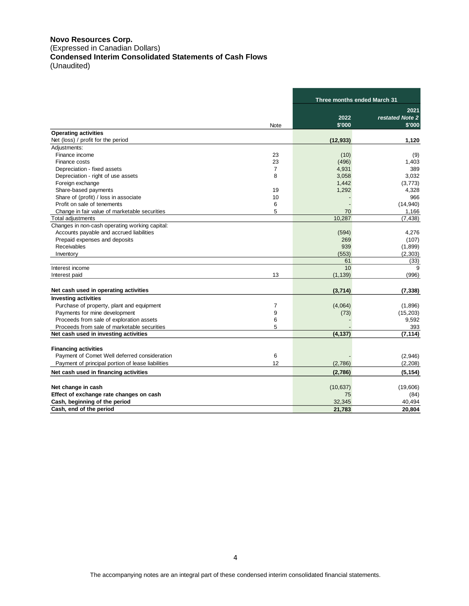#### **Novo Resources Corp.** (Expressed in Canadian Dollars) **Condensed Interim Consolidated Statements of Cash Flows** (Unaudited)

|                                                   |      |                | Three months ended March 31       |  |  |
|---------------------------------------------------|------|----------------|-----------------------------------|--|--|
|                                                   | Note | 2022<br>\$'000 | 2021<br>restated Note 2<br>\$'000 |  |  |
| <b>Operating activities</b>                       |      |                |                                   |  |  |
| Net (loss) / profit for the period                |      | (12, 933)      | 1,120                             |  |  |
| Adjustments:                                      |      |                |                                   |  |  |
| Finance income                                    | 23   | (10)           | (9)                               |  |  |
| Finance costs                                     | 23   | (496)          | 1,403                             |  |  |
| Depreciation - fixed assets                       | 7    | 4,931          | 389                               |  |  |
| Depreciation - right of use assets                | 8    | 3,058          | 3,032                             |  |  |
| Foreign exchange                                  |      | 1,442          | (3,773)                           |  |  |
| Share-based payments                              | 19   | 1,292          | 4,328                             |  |  |
| Share of (profit) / loss in associate             | 10   |                | 966                               |  |  |
| Profit on sale of tenements                       | 6    |                | (14,940)                          |  |  |
| Change in fair value of marketable securities     | 5    | 70             | 1,166                             |  |  |
| Total adjustments                                 |      | 10,287         | (7, 438)                          |  |  |
| Changes in non-cash operating working capital:    |      |                |                                   |  |  |
| Accounts payable and accrued liabilities          |      | (594)          | 4,276                             |  |  |
| Prepaid expenses and deposits                     |      | 269            | (107)                             |  |  |
| Receivables                                       |      | 939            | (1,899)                           |  |  |
| Inventory                                         |      | (553)          | (2, 303)                          |  |  |
|                                                   |      | 61             | (33)                              |  |  |
| Interest income                                   |      | 10             | 9                                 |  |  |
| Interest paid                                     | 13   | (1, 139)       | (996)                             |  |  |
| Net cash used in operating activities             |      | (3,714)        | (7, 338)                          |  |  |
| <b>Investing activities</b>                       |      |                |                                   |  |  |
| Purchase of property, plant and equipment         | 7    | (4,064)        | (1,896)                           |  |  |
| Payments for mine development                     | 9    | (73)           | (15, 203)                         |  |  |
| Proceeds from sale of exploration assets          | 6    |                | 9,592                             |  |  |
| Proceeds from sale of marketable securities       | 5    |                | 393                               |  |  |
| Net cash used in investing activities             |      | (4, 137)       | (7, 114)                          |  |  |
| <b>Financing activities</b>                       |      |                |                                   |  |  |
| Payment of Comet Well deferred consideration      | 6    |                | (2,946)                           |  |  |
| Payment of principal portion of lease liabilities | 12   | (2,786)        | (2,208)                           |  |  |
| Net cash used in financing activities             |      | (2,786)        | (5, 154)                          |  |  |
|                                                   |      |                |                                   |  |  |
| Net change in cash                                |      | (10, 637)      | (19,606)                          |  |  |
| Effect of exchange rate changes on cash           |      | 75             | (84)                              |  |  |
| Cash, beginning of the period                     |      | 32,345         | 40,494                            |  |  |
| Cash, end of the period                           |      | 21,783         | 20,804                            |  |  |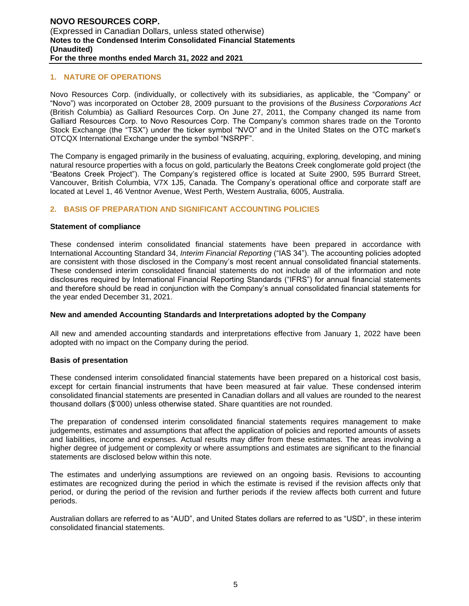#### **1. NATURE OF OPERATIONS**

Novo Resources Corp. (individually, or collectively with its subsidiaries, as applicable, the "Company" or "Novo") was incorporated on October 28, 2009 pursuant to the provisions of the *Business Corporations Act* (British Columbia) as Galliard Resources Corp. On June 27, 2011, the Company changed its name from Galliard Resources Corp. to Novo Resources Corp. The Company's common shares trade on the Toronto Stock Exchange (the "TSX") under the ticker symbol "NVO" and in the United States on the OTC market's OTCQX International Exchange under the symbol "NSRPF".

The Company is engaged primarily in the business of evaluating, acquiring, exploring, developing, and mining natural resource properties with a focus on gold, particularly the Beatons Creek conglomerate gold project (the "Beatons Creek Project"). The Company's registered office is located at Suite 2900, 595 Burrard Street, Vancouver, British Columbia, V7X 1J5, Canada. The Company's operational office and corporate staff are located at Level 1, 46 Ventnor Avenue, West Perth, Western Australia, 6005, Australia.

# **2. BASIS OF PREPARATION AND SIGNIFICANT ACCOUNTING POLICIES**

#### **Statement of compliance**

These condensed interim consolidated financial statements have been prepared in accordance with International Accounting Standard 34, *Interim Financial Reporting* ("IAS 34"). The accounting policies adopted are consistent with those disclosed in the Company's most recent annual consolidated financial statements. These condensed interim consolidated financial statements do not include all of the information and note disclosures required by International Financial Reporting Standards ("IFRS") for annual financial statements and therefore should be read in conjunction with the Company's annual consolidated financial statements for the year ended December 31, 2021.

#### **New and amended Accounting Standards and Interpretations adopted by the Company**

All new and amended accounting standards and interpretations effective from January 1, 2022 have been adopted with no impact on the Company during the period.

#### **Basis of presentation**

These condensed interim consolidated financial statements have been prepared on a historical cost basis, except for certain financial instruments that have been measured at fair value. These condensed interim consolidated financial statements are presented in Canadian dollars and all values are rounded to the nearest thousand dollars (\$'000) unless otherwise stated. Share quantities are not rounded.

The preparation of condensed interim consolidated financial statements requires management to make judgements, estimates and assumptions that affect the application of policies and reported amounts of assets and liabilities, income and expenses. Actual results may differ from these estimates. The areas involving a higher degree of judgement or complexity or where assumptions and estimates are significant to the financial statements are disclosed below within this note.

The estimates and underlying assumptions are reviewed on an ongoing basis. Revisions to accounting estimates are recognized during the period in which the estimate is revised if the revision affects only that period, or during the period of the revision and further periods if the review affects both current and future periods.

Australian dollars are referred to as "AUD", and United States dollars are referred to as "USD", in these interim consolidated financial statements.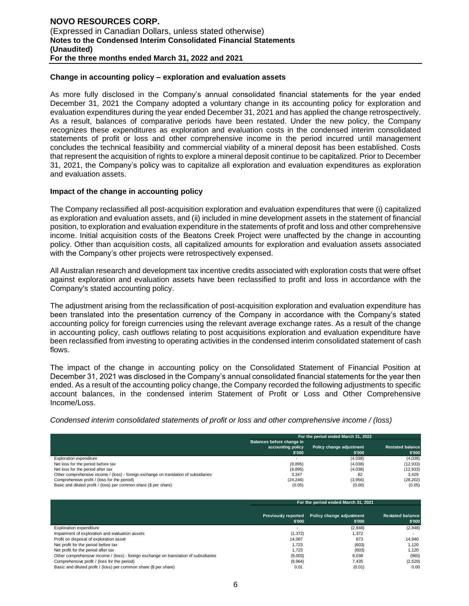#### **Change in accounting policy – exploration and evaluation assets**

As more fully disclosed in the Company's annual consolidated financial statements for the year ended December 31, 2021 the Company adopted a voluntary change in its accounting policy for exploration and evaluation expenditures during the year ended December 31, 2021 and has applied the change retrospectively. As a result, balances of comparative periods have been restated. Under the new policy, the Company recognizes these expenditures as exploration and evaluation costs in the condensed interim consolidated statements of profit or loss and other comprehensive income in the period incurred until management concludes the technical feasibility and commercial viability of a mineral deposit has been established. Costs that represent the acquisition of rights to explore a mineral deposit continue to be capitalized. Prior to December 31, 2021, the Company's policy was to capitalize all exploration and evaluation expenditures as exploration and evaluation assets.

#### **Impact of the change in accounting policy**

The Company reclassified all post-acquisition exploration and evaluation expenditures that were (i) capitalized as exploration and evaluation assets, and (ii) included in mine development assets in the statement of financial position, to exploration and evaluation expenditure in the statements of profit and loss and other comprehensive income. Initial acquisition costs of the Beatons Creek Project were unaffected by the change in accounting policy. Other than acquisition costs, all capitalized amounts for exploration and evaluation assets associated with the Company's other projects were retrospectively expensed.

All Australian research and development tax incentive credits associated with exploration costs that were offset against exploration and evaluation assets have been reclassified to profit and loss in accordance with the Company's stated accounting policy.

The adjustment arising from the reclassification of post-acquisition exploration and evaluation expenditure has been translated into the presentation currency of the Company in accordance with the Company's stated accounting policy for foreign currencies using the relevant average exchange rates. As a result of the change in accounting policy, cash outflows relating to post acquisitions exploration and evaluation expenditure have been reclassified from investing to operating activities in the condensed interim consolidated statement of cash flows.

The impact of the change in accounting policy on the Consolidated Statement of Financial Position at December 31, 2021 was disclosed in the Company's annual consolidated financial statements for the year then ended. As a result of the accounting policy change, the Company recorded the following adjustments to specific account balances, in the condensed interim Statement of Profit or Loss and Other Comprehensive Income/Loss.

*Condensed interim consolidated statements of profit or loss and other comprehensive income / (loss)*

|                                                                                       | For the period ended March 31, 2022 |                                    |                                   |  |
|---------------------------------------------------------------------------------------|-------------------------------------|------------------------------------|-----------------------------------|--|
|                                                                                       | Balances before change in           |                                    |                                   |  |
|                                                                                       | accounting policy<br>\$'000         | Policy change adjustment<br>\$'000 | <b>Restated balance</b><br>\$'000 |  |
| <b>Exploration expenditure</b>                                                        |                                     | (4,038)                            | (4,038)                           |  |
| Net loss for the period before tax                                                    | (8, 895)                            | (4,038)                            | (12, 933)                         |  |
| Net loss for the period after tax                                                     | (8, 895)                            | (4,038)                            | (12, 933)                         |  |
| Other comprehensive income / (loss) - foreign exchange on translation of subsidiaries | 3.347                               | 82                                 | 3.429                             |  |
| Comprehensive profit / (loss for the period)                                          | (24, 246)                           | (3,956)                            | (28, 202)                         |  |
| Basic and diluted profit / (loss) per common share (\$ per share)                     | (0.05)                              | (0.00)                             | (0.05)                            |  |

|                                                                                       | For the period ended March 31, 2021 |                                                        |                                   |  |  |
|---------------------------------------------------------------------------------------|-------------------------------------|--------------------------------------------------------|-----------------------------------|--|--|
|                                                                                       | \$'000                              | Previously reported Policy change adjustment<br>\$'000 | <b>Restated balance</b><br>\$'000 |  |  |
| <b>Exploration expenditure</b>                                                        |                                     | (2,848)                                                | (2,848)                           |  |  |
| Impairment of exploration and evaluation assets                                       | (1, 372)                            | 1,372                                                  |                                   |  |  |
| Profit on disposal of exploration asset                                               | 14.067                              | 873                                                    | 14.940                            |  |  |
| Net profit for the period before tax                                                  | 1.723                               | (603)                                                  | 1.120                             |  |  |
| Net profit for the period after tax                                                   | 1.723                               | (603)                                                  | 1.120                             |  |  |
| Other comprehensive income / (loss) - foreign exchange on translation of subsidiaries | (9,003)                             | 8.038                                                  | (965)                             |  |  |
| Comprehensive profit / (loss for the period)                                          | (9,964)                             | 7.435                                                  | (2,529)                           |  |  |
| Basic and diluted profit / (loss) per common share (\$ per share)                     | 0.01                                | (0.01)                                                 | 0.00                              |  |  |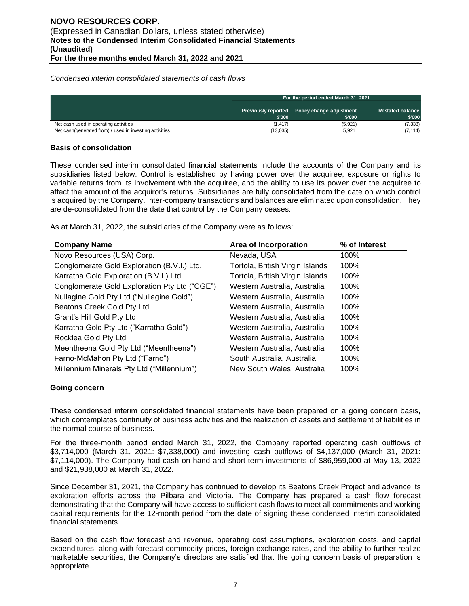*Condensed interim consolidated statements of cash flows*

|                                                                                                  | For the period ended March 31, 2021 |                                                        |                                   |  |
|--------------------------------------------------------------------------------------------------|-------------------------------------|--------------------------------------------------------|-----------------------------------|--|
|                                                                                                  | \$'000                              | Previously reported Policy change adjustment<br>\$'000 | <b>Restated balance</b><br>\$'000 |  |
| Net cash used in operating activities<br>Net cash(generated from) / used in investing activities | (1.417)<br>(13,035)                 | (5, 921)<br>5,921                                      | (7, 338)<br>(7, 114)              |  |

#### **Basis of consolidation**

These condensed interim consolidated financial statements include the accounts of the Company and its subsidiaries listed below. Control is established by having power over the acquiree, exposure or rights to variable returns from its involvement with the acquiree, and the ability to use its power over the acquiree to affect the amount of the acquiror's returns. Subsidiaries are fully consolidated from the date on which control is acquired by the Company. Inter-company transactions and balances are eliminated upon consolidation. They are de-consolidated from the date that control by the Company ceases.

As at March 31, 2022, the subsidiaries of the Company were as follows:

| <b>Company Name</b>                           | Area of Incorporation           | % of Interest |
|-----------------------------------------------|---------------------------------|---------------|
| Novo Resources (USA) Corp.                    | Nevada, USA                     | 100%          |
| Conglomerate Gold Exploration (B.V.I.) Ltd.   | Tortola, British Virgin Islands | 100%          |
| Karratha Gold Exploration (B.V.I.) Ltd.       | Tortola, British Virgin Islands | 100%          |
| Conglomerate Gold Exploration Pty Ltd ("CGE") | Western Australia, Australia    | 100%          |
| Nullagine Gold Pty Ltd ("Nullagine Gold")     | Western Australia, Australia    | 100%          |
| Beatons Creek Gold Pty Ltd                    | Western Australia, Australia    | 100%          |
| Grant's Hill Gold Pty Ltd                     | Western Australia, Australia    | 100%          |
| Karratha Gold Pty Ltd ("Karratha Gold")       | Western Australia, Australia    | 100%          |
| Rocklea Gold Pty Ltd                          | Western Australia, Australia    | 100%          |
| Meentheena Gold Pty Ltd ("Meentheena")        | Western Australia, Australia    | 100%          |
| Farno-McMahon Pty Ltd ("Farno")               | South Australia, Australia      | 100%          |
| Millennium Minerals Pty Ltd ("Millennium")    | New South Wales, Australia      | 100%          |

#### **Going concern**

These condensed interim consolidated financial statements have been prepared on a going concern basis, which contemplates continuity of business activities and the realization of assets and settlement of liabilities in the normal course of business.

For the three-month period ended March 31, 2022, the Company reported operating cash outflows of \$3,714,000 (March 31, 2021: \$7,338,000) and investing cash outflows of \$4,137,000 (March 31, 2021: \$7,114,000). The Company had cash on hand and short-term investments of \$86,959,000 at May 13, 2022 and \$21,938,000 at March 31, 2022.

Since December 31, 2021, the Company has continued to develop its Beatons Creek Project and advance its exploration efforts across the Pilbara and Victoria. The Company has prepared a cash flow forecast demonstrating that the Company will have access to sufficient cash flows to meet all commitments and working capital requirements for the 12-month period from the date of signing these condensed interim consolidated financial statements.

Based on the cash flow forecast and revenue, operating cost assumptions, exploration costs, and capital expenditures, along with forecast commodity prices, foreign exchange rates, and the ability to further realize marketable securities, the Company's directors are satisfied that the going concern basis of preparation is appropriate.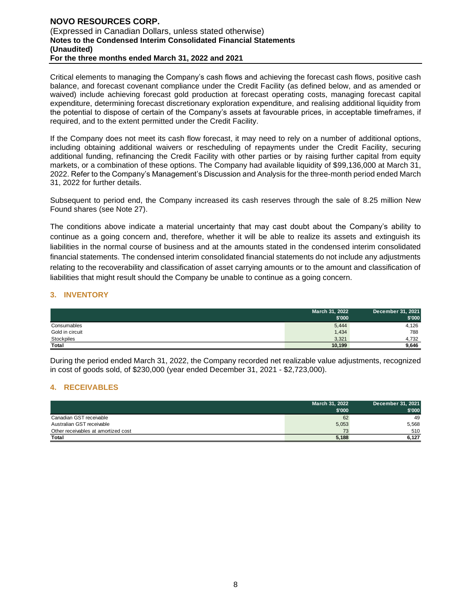#### **NOVO RESOURCES CORP.**  (Expressed in Canadian Dollars, unless stated otherwise) **Notes to the Condensed Interim Consolidated Financial Statements (Unaudited) For the three months ended March 31, 2022 and 2021**

Critical elements to managing the Company's cash flows and achieving the forecast cash flows, positive cash balance, and forecast covenant compliance under the Credit Facility (as defined below, and as amended or waived) include achieving forecast gold production at forecast operating costs, managing forecast capital expenditure, determining forecast discretionary exploration expenditure, and realising additional liquidity from the potential to dispose of certain of the Company's assets at favourable prices, in acceptable timeframes, if required, and to the extent permitted under the Credit Facility.

If the Company does not meet its cash flow forecast, it may need to rely on a number of additional options, including obtaining additional waivers or rescheduling of repayments under the Credit Facility, securing additional funding, refinancing the Credit Facility with other parties or by raising further capital from equity markets, or a combination of these options. The Company had available liquidity of \$99,136,000 at March 31, 2022. Refer to the Company's Management's Discussion and Analysis for the three-month period ended March 31, 2022 for further details.

Subsequent to period end, the Company increased its cash reserves through the sale of 8.25 million New Found shares (see Note 27).

The conditions above indicate a material uncertainty that may cast doubt about the Company's ability to continue as a going concern and, therefore, whether it will be able to realize its assets and extinguish its liabilities in the normal course of business and at the amounts stated in the condensed interim consolidated financial statements. The condensed interim consolidated financial statements do not include any adjustments relating to the recoverability and classification of asset carrying amounts or to the amount and classification of liabilities that might result should the Company be unable to continue as a going concern.

### **3. INVENTORY**

|                 | March 31, 2022<br>\$'000 | December 31, 2021<br>\$'000 |
|-----------------|--------------------------|-----------------------------|
| Consumables     | 5,444                    | 4,126                       |
| Gold in circuit | 1,434                    | 788                         |
| Stockpiles      | 3,321                    | 4.732                       |
| Total           | 10,199                   | 9,646                       |

During the period ended March 31, 2022, the Company recorded net realizable value adjustments, recognized in cost of goods sold, of \$230,000 (year ended December 31, 2021 - \$2,723,000).

# **4. RECEIVABLES**

|                                     | March 31, 2022 | December 31, 2021 |
|-------------------------------------|----------------|-------------------|
|                                     | \$'000         | \$'000            |
| Canadian GST receivable             | 62             | 49                |
| Australian GST receivable           | 5,053          | 5.568             |
| Other receivables at amortized cost | 73             | 510               |
| Total                               | 5,188          | 6.127             |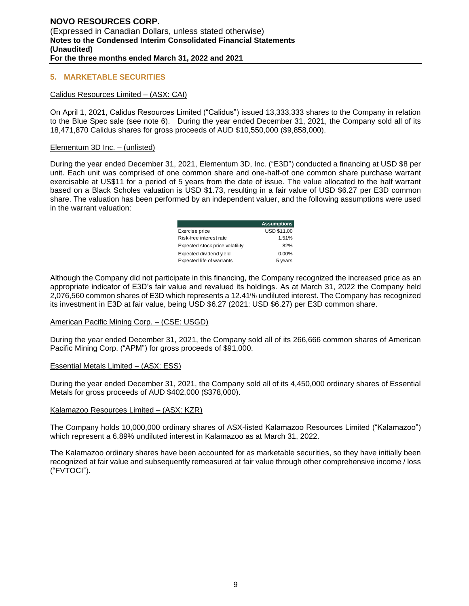#### **5. MARKETABLE SECURITIES**

#### Calidus Resources Limited – (ASX: CAI)

On April 1, 2021, Calidus Resources Limited ("Calidus") issued 13,333,333 shares to the Company in relation to the Blue Spec sale (see note 6). During the year ended December 31, 2021, the Company sold all of its 18,471,870 Calidus shares for gross proceeds of AUD \$10,550,000 (\$9,858,000).

#### Elementum 3D Inc. – (unlisted)

During the year ended December 31, 2021, Elementum 3D, Inc. ("E3D") conducted a financing at USD \$8 per unit. Each unit was comprised of one common share and one-half-of one common share purchase warrant exercisable at US\$11 for a period of 5 years from the date of issue. The value allocated to the half warrant based on a Black Scholes valuation is USD \$1.73, resulting in a fair value of USD \$6.27 per E3D common share. The valuation has been performed by an independent valuer, and the following assumptions were used in the warrant valuation:

|                                 | <b>Assumptions</b> |
|---------------------------------|--------------------|
| Exercise price                  | <b>USD \$11.00</b> |
| Risk-free interest rate         | 1.51%              |
| Expected stock price volatility | 82%                |
| Expected dividend yield         | $0.00\%$           |
| Expected life of warrants       | 5 years            |

Although the Company did not participate in this financing, the Company recognized the increased price as an appropriate indicator of E3D's fair value and revalued its holdings. As at March 31, 2022 the Company held 2,076,560 common shares of E3D which represents a 12.41% undiluted interest. The Company has recognized its investment in E3D at fair value, being USD \$6.27 (2021: USD \$6.27) per E3D common share.

#### American Pacific Mining Corp. – (CSE: USGD)

During the year ended December 31, 2021, the Company sold all of its 266,666 common shares of American Pacific Mining Corp. ("APM") for gross proceeds of \$91,000.

#### Essential Metals Limited – (ASX: ESS)

During the year ended December 31, 2021, the Company sold all of its 4,450,000 ordinary shares of Essential Metals for gross proceeds of AUD \$402,000 (\$378,000).

#### Kalamazoo Resources Limited – (ASX: KZR)

The Company holds 10,000,000 ordinary shares of ASX-listed Kalamazoo Resources Limited ("Kalamazoo") which represent a 6.89% undiluted interest in Kalamazoo as at March 31, 2022.

The Kalamazoo ordinary shares have been accounted for as marketable securities, so they have initially been recognized at fair value and subsequently remeasured at fair value through other comprehensive income / loss ("FVTOCI").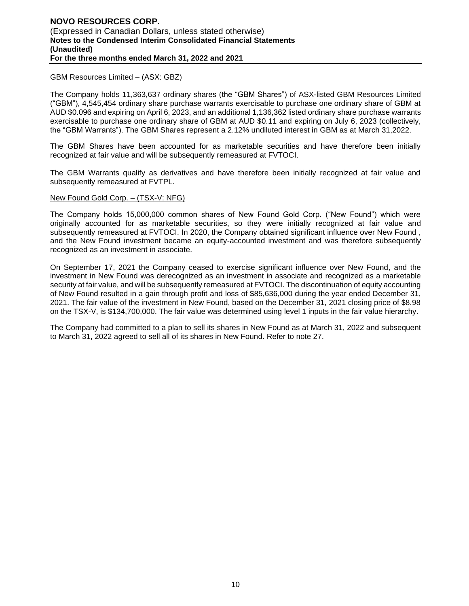#### GBM Resources Limited – (ASX: GBZ)

The Company holds 11,363,637 ordinary shares (the "GBM Shares") of ASX-listed GBM Resources Limited ("GBM"), 4,545,454 ordinary share purchase warrants exercisable to purchase one ordinary share of GBM at AUD \$0.096 and expiring on April 6, 2023, and an additional 1,136,362 listed ordinary share purchase warrants exercisable to purchase one ordinary share of GBM at AUD \$0.11 and expiring on July 6, 2023 (collectively, the "GBM Warrants"). The GBM Shares represent a 2.12% undiluted interest in GBM as at March 31,2022.

The GBM Shares have been accounted for as marketable securities and have therefore been initially recognized at fair value and will be subsequently remeasured at FVTOCI.

The GBM Warrants qualify as derivatives and have therefore been initially recognized at fair value and subsequently remeasured at FVTPL.

#### New Found Gold Corp. – (TSX-V: NFG)

The Company holds 15,000,000 common shares of New Found Gold Corp. ("New Found") which were originally accounted for as marketable securities, so they were initially recognized at fair value and subsequently remeasured at FVTOCI. In 2020, the Company obtained significant influence over New Found , and the New Found investment became an equity-accounted investment and was therefore subsequently recognized as an investment in associate.

On September 17, 2021 the Company ceased to exercise significant influence over New Found, and the investment in New Found was derecognized as an investment in associate and recognized as a marketable security at fair value, and will be subsequently remeasured at FVTOCI. The discontinuation of equity accounting of New Found resulted in a gain through profit and loss of \$85,636,000 during the year ended December 31, 2021. The fair value of the investment in New Found, based on the December 31, 2021 closing price of \$8.98 on the TSX-V, is \$134,700,000. The fair value was determined using level 1 inputs in the fair value hierarchy.

The Company had committed to a plan to sell its shares in New Found as at March 31, 2022 and subsequent to March 31, 2022 agreed to sell all of its shares in New Found. Refer to note 27.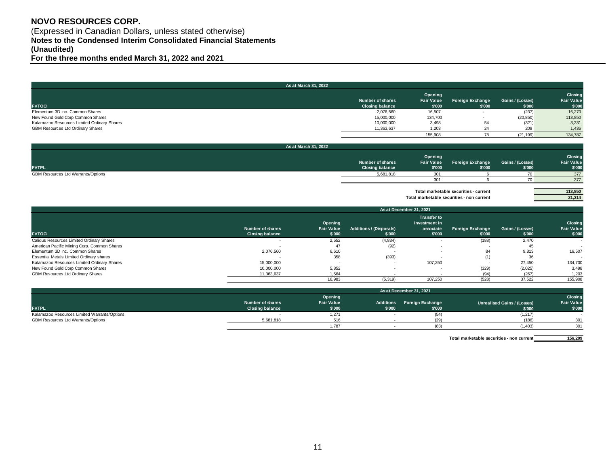# **NOVO RESOURCES CORP.**

(Expressed in Canadian Dollars, unless stated otherwise) **Notes to the Condensed Interim Consolidated Financial Statements (Unaudited)**

**For the three months ended March 31, 2022 and 2021**

|                                             | As at March 31, 2022                       |                                        |                                   |                            |                                        |
|---------------------------------------------|--------------------------------------------|----------------------------------------|-----------------------------------|----------------------------|----------------------------------------|
| <b>FVTOCI</b>                               | Number of shares<br><b>Closing balance</b> | Opening<br><b>Fair Value</b><br>\$'000 | <b>Foreign Exchange</b><br>\$'000 | Gains / (Losses)<br>\$'000 | Closing<br><b>Fair Value</b><br>\$'000 |
| Elementum 3D Inc. Common Shares             | 2,076,560                                  | 16,507                                 |                                   | (237)                      | 16,270                                 |
| New Found Gold Corp Common Shares           | 15,000,000                                 | 134,700                                |                                   | (20, 850)                  | 113,850                                |
| Kalamazoo Resources Limited Ordinary Shares | 10,000,000                                 | 3,498                                  | 54                                | (321)                      | 3,231                                  |
| GBM Resources Ltd Ordinary Shares           | 11,363,637                                 | 1,203                                  |                                   | 209                        | 1,436                                  |
|                                             |                                            | 155,908                                |                                   | (21, 199)                  | 134.787                                |

| As at March 31, 2022               |                                            |                                        |                                   |                            |                                        |
|------------------------------------|--------------------------------------------|----------------------------------------|-----------------------------------|----------------------------|----------------------------------------|
| <b>FVTPL</b>                       | Number of shares<br><b>Closing balance</b> | Opening<br><b>Fair Value</b><br>\$'000 | <b>Foreign Exchange</b><br>\$'000 | Gains / (Losses)<br>\$'000 | Closing<br><b>Fair Value</b><br>\$'000 |
| GBM Resources Ltd Warrants/Options | 5,681,818                                  | 201                                    |                                   |                            | 377                                    |
|                                    |                                            | 201                                    |                                   |                            | 377                                    |

Total marketable securities - current **113,850**<br>al marketable securities - non current **113,850**<br>21,314 **Total marketable securities - non current** 

|                                             | As at December 31, 2021                    |                                        |                                          |                                                            |                            |                            |                                        |
|---------------------------------------------|--------------------------------------------|----------------------------------------|------------------------------------------|------------------------------------------------------------|----------------------------|----------------------------|----------------------------------------|
| <b>FVTOCI</b>                               | Number of shares<br><b>Closing balance</b> | Opening<br><b>Fair Value</b><br>\$'000 | <b>Additions / (Disposals)</b><br>\$'000 | <b>Transfer to</b><br>investment in<br>associate<br>\$'000 | Foreign Exchange<br>\$'000 | Gains / (Losses)<br>\$'000 | Closing<br><b>Fair Value</b><br>\$'000 |
| Calidus Resources Limited Ordinary Shares   |                                            | 2,552                                  | (4,834)                                  |                                                            | (188)                      | 2,470                      |                                        |
| American Pacific Mining Corp. Common Shares |                                            | 47                                     | (92)                                     | $\overline{\phantom{a}}$                                   |                            | 45                         |                                        |
| Elementum 3D Inc. Common Shares             | 2,076,560                                  | 6.610                                  |                                          |                                                            | 84                         | 9.813                      | 16,507                                 |
| Essential Metals Limited Ordinary shares    |                                            | 358                                    | (393)                                    |                                                            | (1)                        | 36                         |                                        |
| Kalamazoo Resources Limited Ordinary Shares | 15,000,000                                 |                                        |                                          | 107.250                                                    |                            | 27.450                     | 134,700                                |
| New Found Gold Corp Common Shares           | 10.000.000                                 | 5.852                                  |                                          |                                                            | (329)                      | (2,025)                    | 3,498                                  |
| GBM Resources Ltd Ordinary Shares           | 11,363,637                                 | 1.564                                  |                                          |                                                            | (94)                       | (267)                      | 1,203                                  |
|                                             |                                            | 16,983                                 | (5, 319)                                 | 107.250                                                    | (528)                      | 37.522                     | 155,908                                |

|                                              |                        |                   |        | As at December 31, 2021    |                                    |                   |
|----------------------------------------------|------------------------|-------------------|--------|----------------------------|------------------------------------|-------------------|
|                                              |                        | Opening           |        |                            |                                    | Closing           |
|                                              | Number of shares       | <b>Fair Value</b> |        | Additions Foreign Exchange | <b>Unrealised Gains / (Losses)</b> | <b>Fair Value</b> |
| <b>FVTPL</b>                                 | <b>Closing balance</b> | \$'000            | \$'000 | \$'000                     | \$'000                             | \$'000            |
| Kalamazoo Resources Limited Warrants/Options |                        | 1,271             |        |                            | (1, 217)                           |                   |
| GBM Resources Ltd Warrants/Options           | 5.681.818              | 516               |        |                            | (186)                              | 301               |
|                                              |                        | 1.787             |        |                            | (1.403)                            | 301               |

**156,209 Total marketable securities - non current**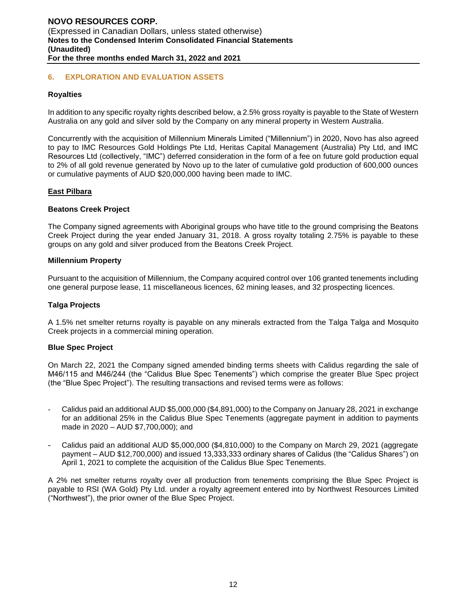#### **6. EXPLORATION AND EVALUATION ASSETS**

#### **Royalties**

In addition to any specific royalty rights described below, a 2.5% gross royalty is payable to the State of Western Australia on any gold and silver sold by the Company on any mineral property in Western Australia.

Concurrently with the acquisition of Millennium Minerals Limited ("Millennium") in 2020, Novo has also agreed to pay to IMC Resources Gold Holdings Pte Ltd, Heritas Capital Management (Australia) Pty Ltd, and IMC Resources Ltd (collectively, "IMC") deferred consideration in the form of a fee on future gold production equal to 2% of all gold revenue generated by Novo up to the later of cumulative gold production of 600,000 ounces or cumulative payments of AUD \$20,000,000 having been made to IMC.

#### **East Pilbara**

#### **Beatons Creek Project**

The Company signed agreements with Aboriginal groups who have title to the ground comprising the Beatons Creek Project during the year ended January 31, 2018. A gross royalty totaling 2.75% is payable to these groups on any gold and silver produced from the Beatons Creek Project.

#### **Millennium Property**

Pursuant to the acquisition of Millennium, the Company acquired control over 106 granted tenements including one general purpose lease, 11 miscellaneous licences, 62 mining leases, and 32 prospecting licences.

#### **Talga Projects**

A 1.5% net smelter returns royalty is payable on any minerals extracted from the Talga Talga and Mosquito Creek projects in a commercial mining operation.

#### **Blue Spec Project**

On March 22, 2021 the Company signed amended binding terms sheets with Calidus regarding the sale of M46/115 and M46/244 (the "Calidus Blue Spec Tenements") which comprise the greater Blue Spec project (the "Blue Spec Project"). The resulting transactions and revised terms were as follows:

- Calidus paid an additional AUD \$5,000,000 (\$4,891,000) to the Company on January 28, 2021 in exchange for an additional 25% in the Calidus Blue Spec Tenements (aggregate payment in addition to payments made in 2020 – AUD \$7,700,000); and
- Calidus paid an additional AUD \$5,000,000 (\$4,810,000) to the Company on March 29, 2021 (aggregate payment – AUD \$12,700,000) and issued 13,333,333 ordinary shares of Calidus (the "Calidus Shares") on April 1, 2021 to complete the acquisition of the Calidus Blue Spec Tenements.

A 2% net smelter returns royalty over all production from tenements comprising the Blue Spec Project is payable to RSI (WA Gold) Pty Ltd. under a royalty agreement entered into by Northwest Resources Limited ("Northwest"), the prior owner of the Blue Spec Project.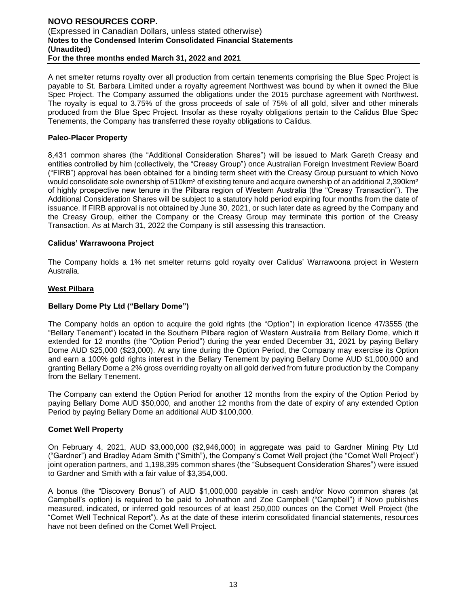A net smelter returns royalty over all production from certain tenements comprising the Blue Spec Project is payable to St. Barbara Limited under a royalty agreement Northwest was bound by when it owned the Blue Spec Project. The Company assumed the obligations under the 2015 purchase agreement with Northwest. The royalty is equal to 3.75% of the gross proceeds of sale of 75% of all gold, silver and other minerals produced from the Blue Spec Project. Insofar as these royalty obligations pertain to the Calidus Blue Spec Tenements, the Company has transferred these royalty obligations to Calidus.

#### **Paleo-Placer Property**

8,431 common shares (the "Additional Consideration Shares") will be issued to Mark Gareth Creasy and entities controlled by him (collectively, the "Creasy Group") once Australian Foreign Investment Review Board ("FIRB") approval has been obtained for a binding term sheet with the Creasy Group pursuant to which Novo would consolidate sole ownership of 510km<sup>2</sup> of existing tenure and acquire ownership of an additional 2,390km<sup>2</sup> of highly prospective new tenure in the Pilbara region of Western Australia (the "Creasy Transaction"). The Additional Consideration Shares will be subject to a statutory hold period expiring four months from the date of issuance. If FIRB approval is not obtained by June 30, 2021, or such later date as agreed by the Company and the Creasy Group, either the Company or the Creasy Group may terminate this portion of the Creasy Transaction. As at March 31, 2022 the Company is still assessing this transaction.

#### **Calidus' Warrawoona Project**

The Company holds a 1% net smelter returns gold royalty over Calidus' Warrawoona project in Western Australia.

#### **West Pilbara**

#### **Bellary Dome Pty Ltd ("Bellary Dome")**

The Company holds an option to acquire the gold rights (the "Option") in exploration licence 47/3555 (the "Bellary Tenement") located in the Southern Pilbara region of Western Australia from Bellary Dome, which it extended for 12 months (the "Option Period") during the year ended December 31, 2021 by paying Bellary Dome AUD \$25,000 (\$23,000). At any time during the Option Period, the Company may exercise its Option and earn a 100% gold rights interest in the Bellary Tenement by paying Bellary Dome AUD \$1,000,000 and granting Bellary Dome a 2% gross overriding royalty on all gold derived from future production by the Company from the Bellary Tenement.

The Company can extend the Option Period for another 12 months from the expiry of the Option Period by paying Bellary Dome AUD \$50,000, and another 12 months from the date of expiry of any extended Option Period by paying Bellary Dome an additional AUD \$100,000.

#### **Comet Well Property**

On February 4, 2021, AUD \$3,000,000 (\$2,946,000) in aggregate was paid to Gardner Mining Pty Ltd ("Gardner") and Bradley Adam Smith ("Smith"), the Company's Comet Well project (the "Comet Well Project") joint operation partners, and 1,198,395 common shares (the "Subsequent Consideration Shares") were issued to Gardner and Smith with a fair value of \$3,354,000.

A bonus (the "Discovery Bonus") of AUD \$1,000,000 payable in cash and/or Novo common shares (at Campbell's option) is required to be paid to Johnathon and Zoe Campbell ("Campbell") if Novo publishes measured, indicated, or inferred gold resources of at least 250,000 ounces on the Comet Well Project (the "Comet Well Technical Report"). As at the date of these interim consolidated financial statements, resources have not been defined on the Comet Well Project.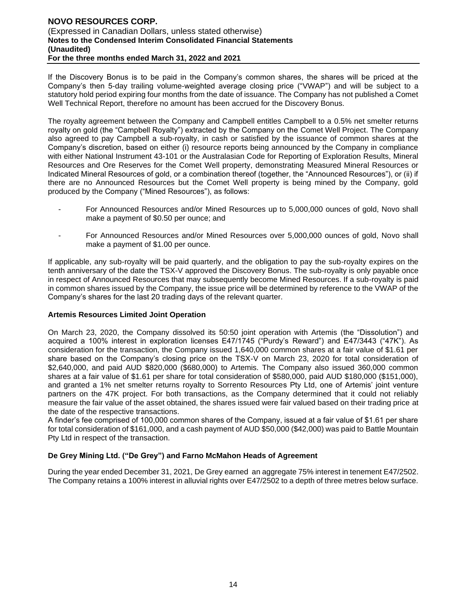If the Discovery Bonus is to be paid in the Company's common shares, the shares will be priced at the Company's then 5-day trailing volume-weighted average closing price ("VWAP") and will be subject to a statutory hold period expiring four months from the date of issuance. The Company has not published a Comet Well Technical Report, therefore no amount has been accrued for the Discovery Bonus.

The royalty agreement between the Company and Campbell entitles Campbell to a 0.5% net smelter returns royalty on gold (the "Campbell Royalty") extracted by the Company on the Comet Well Project. The Company also agreed to pay Campbell a sub-royalty, in cash or satisfied by the issuance of common shares at the Company's discretion, based on either (i) resource reports being announced by the Company in compliance with either National Instrument 43-101 or the Australasian Code for Reporting of Exploration Results, Mineral Resources and Ore Reserves for the Comet Well property, demonstrating Measured Mineral Resources or Indicated Mineral Resources of gold, or a combination thereof (together, the "Announced Resources"), or (ii) if there are no Announced Resources but the Comet Well property is being mined by the Company, gold produced by the Company ("Mined Resources"), as follows:

- For Announced Resources and/or Mined Resources up to 5,000,000 ounces of gold, Novo shall make a payment of \$0.50 per ounce; and
- For Announced Resources and/or Mined Resources over 5,000,000 ounces of gold, Novo shall make a payment of \$1.00 per ounce.

If applicable, any sub-royalty will be paid quarterly, and the obligation to pay the sub-royalty expires on the tenth anniversary of the date the TSX-V approved the Discovery Bonus. The sub-royalty is only payable once in respect of Announced Resources that may subsequently become Mined Resources. If a sub-royalty is paid in common shares issued by the Company, the issue price will be determined by reference to the VWAP of the Company's shares for the last 20 trading days of the relevant quarter.

#### **Artemis Resources Limited Joint Operation**

On March 23, 2020, the Company dissolved its 50:50 joint operation with Artemis (the "Dissolution") and acquired a 100% interest in exploration licenses E47/1745 ("Purdy's Reward") and E47/3443 ("47K"). As consideration for the transaction, the Company issued 1,640,000 common shares at a fair value of \$1.61 per share based on the Company's closing price on the TSX-V on March 23, 2020 for total consideration of \$2,640,000, and paid AUD \$820,000 (\$680,000) to Artemis. The Company also issued 360,000 common shares at a fair value of \$1.61 per share for total consideration of \$580,000, paid AUD \$180,000 (\$151,000), and granted a 1% net smelter returns royalty to Sorrento Resources Pty Ltd, one of Artemis' joint venture partners on the 47K project. For both transactions, as the Company determined that it could not reliably measure the fair value of the asset obtained, the shares issued were fair valued based on their trading price at the date of the respective transactions.

A finder's fee comprised of 100,000 common shares of the Company, issued at a fair value of \$1.61 per share for total consideration of \$161,000, and a cash payment of AUD \$50,000 (\$42,000) was paid to Battle Mountain Pty Ltd in respect of the transaction.

#### **De Grey Mining Ltd. ("De Grey") and Farno McMahon Heads of Agreement**

During the year ended December 31, 2021, De Grey earned an aggregate 75% interest in tenement E47/2502. The Company retains a 100% interest in alluvial rights over E47/2502 to a depth of three metres below surface.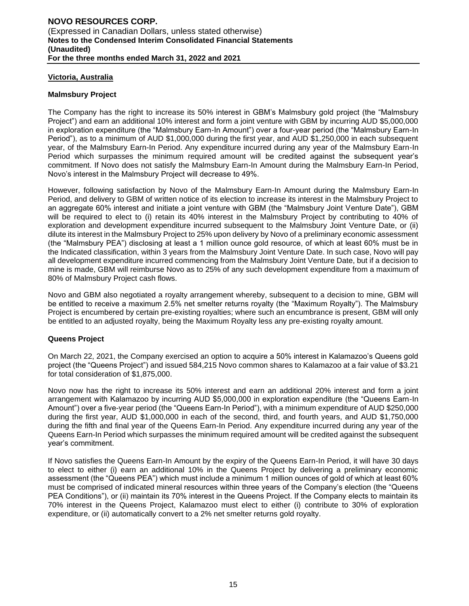#### **Victoria, Australia**

#### **Malmsbury Project**

The Company has the right to increase its 50% interest in GBM's Malmsbury gold project (the "Malmsbury Project") and earn an additional 10% interest and form a joint venture with GBM by incurring AUD \$5,000,000 in exploration expenditure (the "Malmsbury Earn-In Amount") over a four-year period (the "Malmsbury Earn-In Period"), as to a minimum of AUD \$1,000,000 during the first year, and AUD \$1,250,000 in each subsequent year, of the Malmsbury Earn-In Period. Any expenditure incurred during any year of the Malmsbury Earn-In Period which surpasses the minimum required amount will be credited against the subsequent year's commitment. If Novo does not satisfy the Malmsbury Earn-In Amount during the Malmsbury Earn-In Period, Novo's interest in the Malmsbury Project will decrease to 49%.

However, following satisfaction by Novo of the Malmsbury Earn-In Amount during the Malmsbury Earn-In Period, and delivery to GBM of written notice of its election to increase its interest in the Malmsbury Project to an aggregate 60% interest and initiate a joint venture with GBM (the "Malmsbury Joint Venture Date"), GBM will be required to elect to (i) retain its 40% interest in the Malmsbury Project by contributing to 40% of exploration and development expenditure incurred subsequent to the Malmsbury Joint Venture Date, or (ii) dilute its interest in the Malmsbury Project to 25% upon delivery by Novo of a preliminary economic assessment (the "Malmsbury PEA") disclosing at least a 1 million ounce gold resource, of which at least 60% must be in the Indicated classification, within 3 years from the Malmsbury Joint Venture Date. In such case, Novo will pay all development expenditure incurred commencing from the Malmsbury Joint Venture Date, but if a decision to mine is made, GBM will reimburse Novo as to 25% of any such development expenditure from a maximum of 80% of Malmsbury Project cash flows.

Novo and GBM also negotiated a royalty arrangement whereby, subsequent to a decision to mine, GBM will be entitled to receive a maximum 2.5% net smelter returns royalty (the "Maximum Royalty"). The Malmsbury Project is encumbered by certain pre-existing royalties; where such an encumbrance is present, GBM will only be entitled to an adjusted royalty, being the Maximum Royalty less any pre-existing royalty amount.

#### **Queens Project**

On March 22, 2021, the Company exercised an option to acquire a 50% interest in Kalamazoo's Queens gold project (the "Queens Project") and issued 584,215 Novo common shares to Kalamazoo at a fair value of \$3.21 for total consideration of \$1,875,000.

Novo now has the right to increase its 50% interest and earn an additional 20% interest and form a joint arrangement with Kalamazoo by incurring AUD \$5,000,000 in exploration expenditure (the "Queens Earn-In Amount") over a five-year period (the "Queens Earn-In Period"), with a minimum expenditure of AUD \$250,000 during the first year, AUD \$1,000,000 in each of the second, third, and fourth years, and AUD \$1,750,000 during the fifth and final year of the Queens Earn-In Period. Any expenditure incurred during any year of the Queens Earn-In Period which surpasses the minimum required amount will be credited against the subsequent year's commitment.

If Novo satisfies the Queens Earn-In Amount by the expiry of the Queens Earn-In Period, it will have 30 days to elect to either (i) earn an additional 10% in the Queens Project by delivering a preliminary economic assessment (the "Queens PEA") which must include a minimum 1 million ounces of gold of which at least 60% must be comprised of indicated mineral resources within three years of the Company's election (the "Queens PEA Conditions"), or (ii) maintain its 70% interest in the Queens Project. If the Company elects to maintain its 70% interest in the Queens Project, Kalamazoo must elect to either (i) contribute to 30% of exploration expenditure, or (ii) automatically convert to a 2% net smelter returns gold royalty.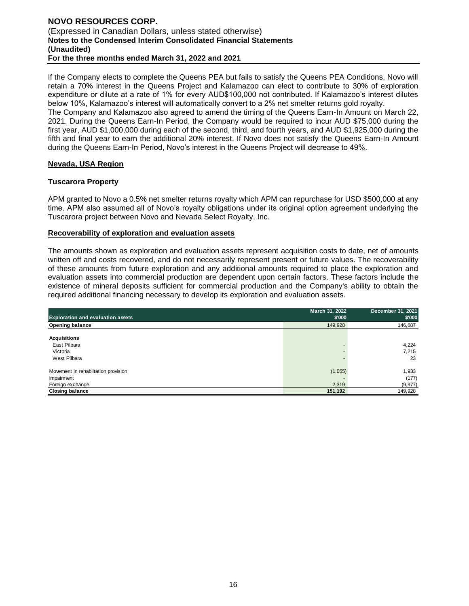#### **NOVO RESOURCES CORP.**  (Expressed in Canadian Dollars, unless stated otherwise) **Notes to the Condensed Interim Consolidated Financial Statements (Unaudited) For the three months ended March 31, 2022 and 2021**

If the Company elects to complete the Queens PEA but fails to satisfy the Queens PEA Conditions, Novo will retain a 70% interest in the Queens Project and Kalamazoo can elect to contribute to 30% of exploration expenditure or dilute at a rate of 1% for every AUD\$100,000 not contributed. If Kalamazoo's interest dilutes below 10%, Kalamazoo's interest will automatically convert to a 2% net smelter returns gold royalty.

The Company and Kalamazoo also agreed to amend the timing of the Queens Earn-In Amount on March 22, 2021. During the Queens Earn-In Period, the Company would be required to incur AUD \$75,000 during the first year, AUD \$1,000,000 during each of the second, third, and fourth years, and AUD \$1,925,000 during the fifth and final year to earn the additional 20% interest. If Novo does not satisfy the Queens Earn-In Amount during the Queens Earn-In Period, Novo's interest in the Queens Project will decrease to 49%.

#### **Nevada, USA Region**

#### **Tuscarora Property**

APM granted to Novo a 0.5% net smelter returns royalty which APM can repurchase for USD \$500,000 at any time. APM also assumed all of Novo's royalty obligations under its original option agreement underlying the Tuscarora project between Novo and Nevada Select Royalty, Inc.

#### **Recoverability of exploration and evaluation assets**

The amounts shown as exploration and evaluation assets represent acquisition costs to date, net of amounts written off and costs recovered, and do not necessarily represent present or future values. The recoverability of these amounts from future exploration and any additional amounts required to place the exploration and evaluation assets into commercial production are dependent upon certain factors. These factors include the existence of mineral deposits sufficient for commercial production and the Company's ability to obtain the required additional financing necessary to develop its exploration and evaluation assets.

|                                          | March 31, 2022 | December 31, 2021 |
|------------------------------------------|----------------|-------------------|
| <b>Exploration and evaluation assets</b> | \$'000         | \$'000            |
| <b>Opening balance</b>                   | 149,928        | 146,687           |
| <b>Acquisitions</b>                      |                |                   |
| East Pilbara                             |                | 4,224             |
| Victoria                                 |                | 7.215             |
| West Pilbara                             |                | 23                |
| Movement in rehabiltation provision      | (1,055)        | 1,933             |
| Impairment                               |                | (177)             |
| Foreign exchange                         | 2,319          | (9, 977)          |
| <b>Closing balance</b>                   | 151,192        | 149,928           |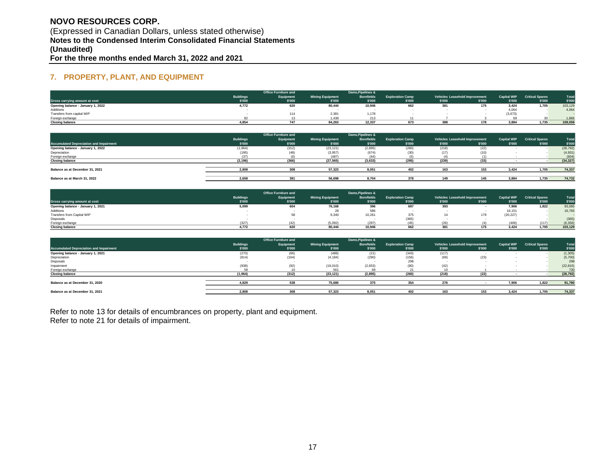# **NOVO RESOURCES CORP.**  (Expressed in Canadian Dollars, unless stated otherwise) **Notes to the Condensed Interim Consolidated Financial Statements (Unaudited)**

**For the three months ended March 31, 2022 and 2021**

# **7. PROPERTY, PLANT, AND EQUIPMENT**

|                                   |                  | <b>Office Furniture and</b> |                         | Dams.Pipelines &  |                         |        |                                |                    |                        |         |
|-----------------------------------|------------------|-----------------------------|-------------------------|-------------------|-------------------------|--------|--------------------------------|--------------------|------------------------|---------|
|                                   | <b>Buildings</b> | Equipment                   | <b>Mining Equipment</b> | <b>Borefields</b> | <b>Exploration Camp</b> |        | Vehicles Leasehold Improvement | <b>Capital WIP</b> | <b>Critical Spares</b> | Tota    |
| Gross carrying amount at cost     | \$'000           | \$'000                      | \$'000                  | \$'000            | \$'000                  | \$'000 | \$'000                         | \$'000             | \$'000                 | \$'000  |
| Opening balance - January 1, 2022 | 4,772            | 620                         | 80,444                  | 10,946            | 662                     | ၁၀ ၊   | 175                            | 3,424              | 1.705                  | 103,129 |
| Additions                         |                  |                             |                         |                   |                         |        |                                | 4,064              |                        | 4,064   |
| Transfers from capital WIP        |                  | 114                         | 2,381                   | 1.178             |                         |        |                                | (3,673)            |                        |         |
| Foreign exchange                  |                  |                             |                         |                   |                         |        |                                |                    |                        | 1,866   |
| <b>Closing balance</b>            | 4,854            | 747                         | 84,263                  | 12,337            |                         |        |                                | 3,884              | 1,735                  | 109,059 |

|                                                |                  | <b>Office Furniture and</b> |                         | Dams, Pipelines & |                         |        |                                |                    |                        |           |
|------------------------------------------------|------------------|-----------------------------|-------------------------|-------------------|-------------------------|--------|--------------------------------|--------------------|------------------------|-----------|
|                                                | <b>Buildings</b> | Equipment                   | <b>Mining Equipment</b> | <b>Borefields</b> | <b>Exploration Camp</b> |        | Vehicles Leasehold Improvement | <b>Capital WIP</b> | <b>Critical Spares</b> | Total     |
| <b>Accumulated Depreciation and Impairment</b> | \$'000           | \$'000                      | \$'000                  | \$'000            | \$'000                  | \$'000 | \$'000                         | \$'000             | \$'000                 | \$'000    |
| Opening balance - January 1, 2022              | (1, 964)         | (312)                       | (23, 121)               | (2,895)           | (260)                   | (218)  | (22)                           |                    |                        | (28, 792) |
| Depreciation                                   | (195)            | (48)                        | (3,957)                 | (674)             |                         | (17)   | (10)                           |                    |                        | (4,931)   |
| Foreign exchange                               |                  | (6)                         | (487)                   | (64)              |                         |        |                                |                    |                        | (604)     |
| <b>Closing balance</b>                         | (2, 196)         | (366)                       | (27, 565)               | (3,633)           | (295)                   | (239)  | (33)                           |                    |                        | (34, 327) |
|                                                |                  |                             |                         |                   |                         |        |                                |                    |                        |           |
| Balance as at December 31, 2021                | 2.808            | 308                         | 57,323                  | 8.051             | 402                     | 163    |                                | 3.424              | 1.705                  | 74,337    |
| Balance as at March 31, 2022                   | 2.658            | 381                         | 56,698                  | 8.704             | 378                     |        |                                | 3.884              | 1.735                  | 74,732    |
|                                                |                  |                             |                         |                   |                         |        |                                |                    |                        |           |

|                                   |                  | <b>Office Furniture and</b> |                         | Dams, Pipelines & |                         |        |                                |                    |                        |          |
|-----------------------------------|------------------|-----------------------------|-------------------------|-------------------|-------------------------|--------|--------------------------------|--------------------|------------------------|----------|
|                                   | <b>Buildings</b> | Equipment                   | <b>Mining Equipment</b> | <b>Borefields</b> | <b>Exploration Camp</b> |        | Vehicles Leasehold Improvement | <b>Capital WIP</b> | <b>Critical Spares</b> | Tota     |
| Gross carrying amount at cost     | \$'000           | \$'000                      | \$'000                  | \$'000            | \$'000                  | \$'000 | \$'000                         | \$'000             | \$'000                 | \$'000   |
| Opening balance - January 1, 2021 | 5,099            | 604                         | 76,168                  | 396               | 697                     | 393    |                                | 7,906              | 1,822                  | 93,085   |
| Additions                         |                  |                             | 28                      | 586               |                         |        |                                | 16,151             |                        | 16,765   |
| Transfers from Capital WIP        |                  |                             | 9,340                   | 10,261            | 375                     |        |                                | (20, 227)          |                        |          |
| Disposals                         |                  |                             |                         |                   | (365)                   |        |                                |                    |                        | (365)    |
| Foreign exchange                  | (327)            | (42)                        | (5,092)                 | (297)             |                         | (26)   |                                | (406)              | (117)                  | (6, 356) |
| <b>Closing balance</b>            | 4.772            | 620                         | 80,444                  | 10.946            | 662                     | 381    |                                | 3.424              | 1.705                  | 103.129  |

|                                                |                  | <b>Office Furniture and</b> |                         | Dams, Pipelines & |                         |        |                                |                    |                        |           |
|------------------------------------------------|------------------|-----------------------------|-------------------------|-------------------|-------------------------|--------|--------------------------------|--------------------|------------------------|-----------|
|                                                | <b>Buildings</b> | Equipment                   | <b>Mining Equipment</b> | <b>Borefields</b> | <b>Exploration Camp</b> |        | Vehicles Leasehold Improvement | <b>Capital WIP</b> | <b>Critical Spares</b> | Tota      |
| <b>Accumulated Depreciation and Impairment</b> | \$'000           | \$'000                      | \$'000                  | \$'000            | \$'000                  | \$'000 | \$'000                         | \$'000             | \$'000                 | \$'000    |
| Opening balance - January 1, 2021              | (270)            | (66)                        | (488)                   | (21)              | (343)                   | (117)  |                                |                    |                        | (1, 305)  |
| Depreciation                                   | (814)            | (164)                       | (4, 184)                | (290)             | 156)                    | (69)   | (23)                           |                    |                        | (5,700)   |
| Disposals                                      |                  |                             |                         |                   | 298                     |        |                                |                    |                        | 298       |
| Impairment                                     | (938)            | (92)                        | (19,010)                | (2,653)           |                         | (42)   |                                |                    |                        | (22, 815) |
| Foreign exchange                               |                  |                             | 561                     |                   |                         |        |                                |                    |                        | 730       |
| <b>Closing balance</b>                         | (1, 964)         | (312)                       | (23, 121)               | (2,895)           | (260)                   | (218)  | (22)                           |                    |                        | (28, 792) |
|                                                |                  |                             |                         |                   |                         |        |                                |                    |                        |           |
| Balance as at December 31, 2020                | 4.829            | 538                         | 75,680                  | 375               | 354                     | 276    |                                | 7.906              | 1.822                  | 91,780    |
|                                                |                  |                             |                         |                   |                         |        |                                |                    |                        |           |
| Balance as at December 31, 2021                | 2.808            | 308                         | 57.323                  | 8.051             | 402                     | 163    |                                | 3.424              | 1.705                  | 74,337    |

Refer to note 13 for details of encumbrances on property, plant and equipment. Refer to note 21 for details of impairment.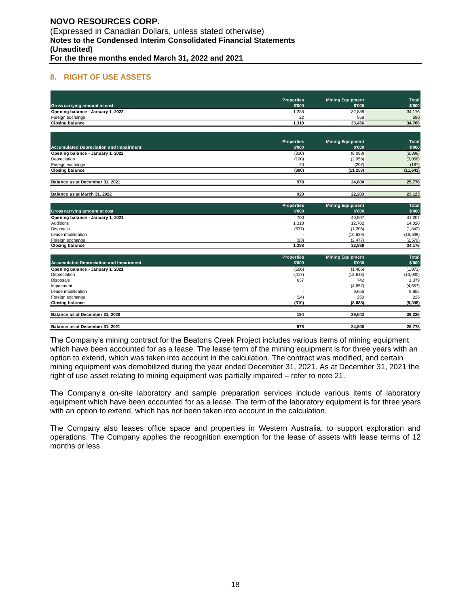#### **8. RIGHT OF USE ASSETS**

|                                                | <b>Properties</b> | <b>Mining Equipment</b> | Total     |
|------------------------------------------------|-------------------|-------------------------|-----------|
| Gross carrying amount at cost                  | \$'000            | \$'000                  | \$'000    |
| Opening balance - January 1, 2022              | 1.288             | 32.888                  | 34,176    |
| Foreign exchange                               | 22                | 568                     | 590       |
| <b>Closing balance</b>                         | 1,310             | 33.456                  | 34,766    |
|                                                |                   |                         |           |
|                                                | <b>Properties</b> | <b>Mining Equipment</b> | Total     |
| <b>Accumulated Depreciation and Impairment</b> | \$'000            | \$'000                  | \$'000    |
| Opening balance - January 1, 2022              | (310)             | (8,088)                 | (8, 398)  |
| Depreciation                                   | (100)             | (2,958)                 | (3,058)   |
| Foreign exchange                               | 20                | (207)                   | (187)     |
| <b>Closing balance</b>                         | (390)             | (11, 253)               | (11, 643) |
|                                                |                   |                         |           |
| Balance as at December 31, 2021                | 978               | 24.800                  | 25,778    |
|                                                |                   |                         |           |
| Balance as at March 31, 2022                   | 920               | 22,203                  | 23,123    |
|                                                | <b>Properties</b> | <b>Mining Equipment</b> | Total     |
| Gross carrying amount at cost                  | \$'000            | \$'000                  | \$'000    |
| Opening balance - January 1, 2021              | 700               | 40,507                  | 41,207    |
| Additions                                      | 1,318             | 12.702                  | 14,020    |
| Disposals                                      | (637)             | (1, 205)                | (1, 842)  |
| Lease modification                             |                   | (16, 639)               | (16, 639) |
| Foreign exchange                               | (93)              | (2, 477)                | (2,570)   |
| <b>Closing balance</b>                         | 1,288             | 32,888                  | 34,176    |
|                                                | <b>Properties</b> | <b>Mining Equipment</b> | Total     |
| <b>Accumulated Depreciation and Impairment</b> | \$'000            | \$'000                  | \$'000    |
| Opening balance - January 1, 2021              | (506)             | (1, 465)                | (1, 971)  |
| Depreciation                                   | (417)             | (12, 613)               | (13,030)  |
| Disposals                                      | 637               | 742                     | 1,379     |
| Impairment                                     |                   | (4,657)                 | (4,657)   |
| Lease modification                             |                   | 9,655                   | 9,655     |
| Foreign exchange                               | (24)              | 250                     | 226       |
| <b>Closing balance</b>                         | (310)             | (8,088)                 | (8, 398)  |
| Balance as at December 31, 2020                | 194               | 39.042                  | 39,236    |
|                                                |                   |                         |           |
| Balance as at December 31, 2021                | 978               | 24.800                  | 25.778    |

The Company's mining contract for the Beatons Creek Project includes various items of mining equipment which have been accounted for as a lease. The lease term of the mining equipment is for three years with an option to extend, which was taken into account in the calculation. The contract was modified, and certain mining equipment was demobilized during the year ended December 31, 2021. As at December 31, 2021 the right of use asset relating to mining equipment was partially impaired – refer to note 21.

The Company's on-site laboratory and sample preparation services include various items of laboratory equipment which have been accounted for as a lease. The term of the laboratory equipment is for three years with an option to extend, which has not been taken into account in the calculation.

The Company also leases office space and properties in Western Australia, to support exploration and operations. The Company applies the recognition exemption for the lease of assets with lease terms of 12 months or less.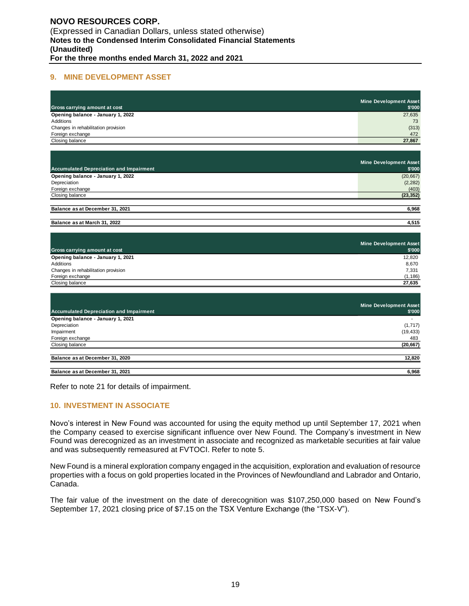#### **9. MINE DEVELOPMENT ASSET**

| Gross carrying amount at cost       | Mine Development Asset<br>\$'000 |
|-------------------------------------|----------------------------------|
| Opening balance - January 1, 2022   | 27,635                           |
| Additions                           | 73                               |
| Changes in rehabilitation provision | (313)                            |
| Foreign exchange                    | 472                              |
| Closing balance                     | 27,867                           |

|                                                | Mine Development Asset |
|------------------------------------------------|------------------------|
| <b>Accumulated Depreciation and Impairment</b> | \$'000                 |
| Opening balance - January 1, 2022              | (20, 667)              |
| Depreciation                                   | (2, 282)               |
| Foreign exchange                               | (403)                  |
| Closing balance                                | (23, 352)              |
|                                                |                        |
| Balance as at December 31, 2021                | 6,968                  |
| Balance as at March 31, 2022                   | 4,515                  |

| Gross carrying amount at cost       | Mine Development Asset<br>\$'000 |
|-------------------------------------|----------------------------------|
| Opening balance - January 1, 2021   | 12.820                           |
| Additions                           | 8,670                            |
| Changes in rehabilitation provision | 7,331                            |
| Foreign exchange                    | (1, 186)                         |
| Closing balance                     | 27.635                           |

| <b>Accumulated Depreciation and Impairment</b> | <b>Mine Development Asset</b><br>\$'000 |
|------------------------------------------------|-----------------------------------------|
| Opening balance - January 1, 2021              |                                         |
| Depreciation                                   | (1,717)                                 |
| Impairment                                     | (19, 433)                               |
| Foreign exchange                               | 483                                     |
| Closing balance                                | (20, 667)                               |
| Balance as at December 31, 2020                | 12,820                                  |
| Balance as at December 31, 2021                | 6,968                                   |

Refer to note 21 for details of impairment.

# **10. INVESTMENT IN ASSOCIATE**

Novo's interest in New Found was accounted for using the equity method up until September 17, 2021 when the Company ceased to exercise significant influence over New Found. The Company's investment in New Found was derecognized as an investment in associate and recognized as marketable securities at fair value and was subsequently remeasured at FVTOCI. Refer to note 5.

New Found is a mineral exploration company engaged in the acquisition, exploration and evaluation of resource properties with a focus on gold properties located in the Provinces of Newfoundland and Labrador and Ontario, Canada.

The fair value of the investment on the date of derecognition was \$107,250,000 based on New Found's September 17, 2021 closing price of \$7.15 on the TSX Venture Exchange (the "TSX-V").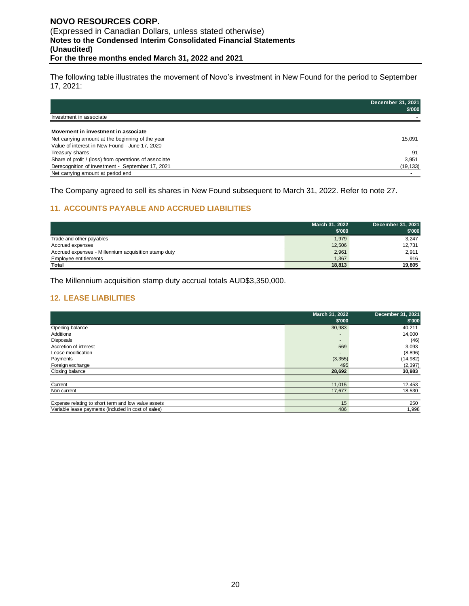The following table illustrates the movement of Novo's investment in New Found for the period to September 17, 2021:

|                                                                                                                                           | December 31, 2021<br>\$'000 |
|-------------------------------------------------------------------------------------------------------------------------------------------|-----------------------------|
| Investment in associate                                                                                                                   |                             |
| Movement in investment in associate<br>Net carrying amount at the beginning of the year<br>Value of interest in New Found - June 17, 2020 | 15,091                      |
| Treasury shares                                                                                                                           | 91                          |
| Share of profit / (loss) from operations of associate                                                                                     | 3,951                       |
| Derecognition of investment - September 17, 2021                                                                                          | (19, 133)                   |
| Net carrying amount at period end                                                                                                         |                             |

The Company agreed to sell its shares in New Found subsequent to March 31, 2022. Refer to note 27.

# **11. ACCOUNTS PAYABLE AND ACCRUED LIABILITIES**

|                                                      | March 31, 2022 | December 31, 2021 |
|------------------------------------------------------|----------------|-------------------|
|                                                      | \$'000         | \$'000            |
| Trade and other payables                             | 1,979          | 3,247             |
| Accrued expenses                                     | 12,506         | 12.731            |
| Accrued expenses - Millennium acquisition stamp duty | 2,961          | 2,911             |
| Employee entitlements                                | 1.367          | 916               |
| Total                                                | 18,813         | 19.805            |

The Millennium acquisition stamp duty accrual totals AUD\$3,350,000.

#### **12. LEASE LIABILITIES**

|                                                     | March 31, 2022<br>\$'000 | December 31, 2021<br>\$'000 |
|-----------------------------------------------------|--------------------------|-----------------------------|
| Opening balance                                     | 30,983                   | 40,211                      |
| Additions                                           |                          | 14,000                      |
| Disposals                                           | $\overline{\phantom{a}}$ | (46)                        |
| Accretion of interest                               | 569                      | 3,093                       |
| Lease modification                                  | $\overline{\phantom{a}}$ | (8,896)                     |
| Payments                                            | (3, 355)                 | (14, 982)                   |
| Foreign exchange                                    | 495                      | (2, 397)                    |
| Closing balance                                     | 28,692                   | 30,983                      |
|                                                     |                          |                             |
| Current                                             | 11,015                   | 12,453                      |
| Non current                                         | 17.677                   | 18,530                      |
|                                                     |                          |                             |
| Expense relating to short term and low value assets | 15                       | 250                         |
| Variable lease payments (included in cost of sales) | 486                      | 1,998                       |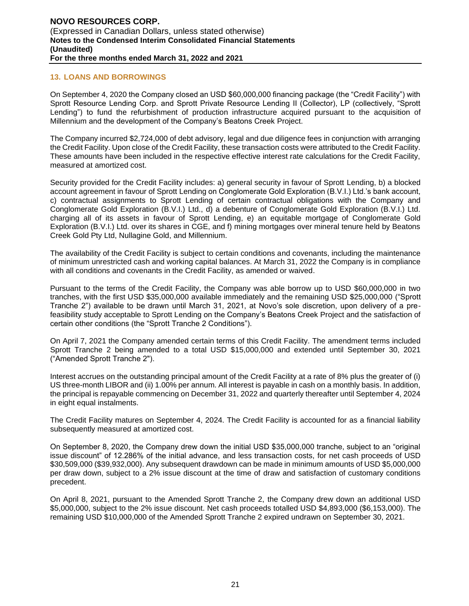#### **13. LOANS AND BORROWINGS**

On September 4, 2020 the Company closed an USD \$60,000,000 financing package (the "Credit Facility") with Sprott Resource Lending Corp. and Sprott Private Resource Lending II (Collector), LP (collectively, "Sprott Lending") to fund the refurbishment of production infrastructure acquired pursuant to the acquisition of Millennium and the development of the Company's Beatons Creek Project.

The Company incurred \$2,724,000 of debt advisory, legal and due diligence fees in conjunction with arranging the Credit Facility. Upon close of the Credit Facility, these transaction costs were attributed to the Credit Facility. These amounts have been included in the respective effective interest rate calculations for the Credit Facility, measured at amortized cost.

Security provided for the Credit Facility includes: a) general security in favour of Sprott Lending, b) a blocked account agreement in favour of Sprott Lending on Conglomerate Gold Exploration (B.V.I.) Ltd.'s bank account, c) contractual assignments to Sprott Lending of certain contractual obligations with the Company and Conglomerate Gold Exploration (B.V.I.) Ltd., d) a debenture of Conglomerate Gold Exploration (B.V.I.) Ltd. charging all of its assets in favour of Sprott Lending, e) an equitable mortgage of Conglomerate Gold Exploration (B.V.I.) Ltd. over its shares in CGE, and f) mining mortgages over mineral tenure held by Beatons Creek Gold Pty Ltd, Nullagine Gold, and Millennium.

The availability of the Credit Facility is subject to certain conditions and covenants, including the maintenance of minimum unrestricted cash and working capital balances. At March 31, 2022 the Company is in compliance with all conditions and covenants in the Credit Facility, as amended or waived.

Pursuant to the terms of the Credit Facility, the Company was able borrow up to USD \$60,000,000 in two tranches, with the first USD \$35,000,000 available immediately and the remaining USD \$25,000,000 ("Sprott Tranche 2") available to be drawn until March 31, 2021, at Novo's sole discretion, upon delivery of a prefeasibility study acceptable to Sprott Lending on the Company's Beatons Creek Project and the satisfaction of certain other conditions (the "Sprott Tranche 2 Conditions").

On April 7, 2021 the Company amended certain terms of this Credit Facility. The amendment terms included Sprott Tranche 2 being amended to a total USD \$15,000,000 and extended until September 30, 2021 ("Amended Sprott Tranche 2").

Interest accrues on the outstanding principal amount of the Credit Facility at a rate of 8% plus the greater of (i) US three-month LIBOR and (ii) 1.00% per annum. All interest is payable in cash on a monthly basis. In addition, the principal is repayable commencing on December 31, 2022 and quarterly thereafter until September 4, 2024 in eight equal instalments.

The Credit Facility matures on September 4, 2024. The Credit Facility is accounted for as a financial liability subsequently measured at amortized cost.

On September 8, 2020, the Company drew down the initial USD \$35,000,000 tranche, subject to an "original issue discount" of 12.286% of the initial advance, and less transaction costs, for net cash proceeds of USD \$30,509,000 (\$39,932,000). Any subsequent drawdown can be made in minimum amounts of USD \$5,000,000 per draw down, subject to a 2% issue discount at the time of draw and satisfaction of customary conditions precedent.

On April 8, 2021, pursuant to the Amended Sprott Tranche 2, the Company drew down an additional USD \$5,000,000, subject to the 2% issue discount. Net cash proceeds totalled USD \$4,893,000 (\$6,153,000). The remaining USD \$10,000,000 of the Amended Sprott Tranche 2 expired undrawn on September 30, 2021.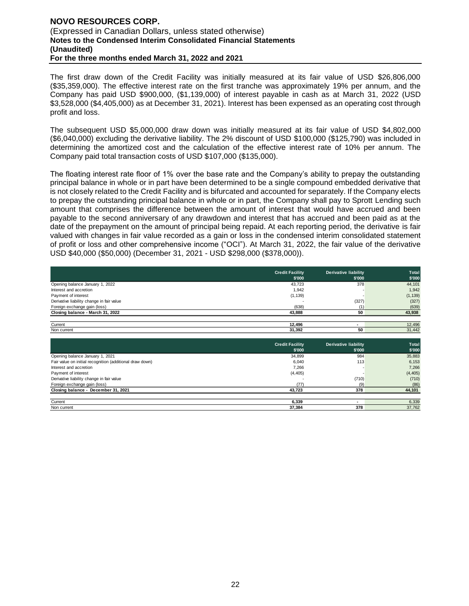#### **NOVO RESOURCES CORP.**  (Expressed in Canadian Dollars, unless stated otherwise) **Notes to the Condensed Interim Consolidated Financial Statements (Unaudited) For the three months ended March 31, 2022 and 2021**

The first draw down of the Credit Facility was initially measured at its fair value of USD \$26,806,000 (\$35,359,000). The effective interest rate on the first tranche was approximately 19% per annum, and the Company has paid USD \$900,000, (\$1,139,000) of interest payable in cash as at March 31, 2022 (USD \$3,528,000 (\$4,405,000) as at December 31, 2021). Interest has been expensed as an operating cost through profit and loss.

The subsequent USD \$5,000,000 draw down was initially measured at its fair value of USD \$4,802,000 (\$6,040,000) excluding the derivative liability. The 2% discount of USD \$100,000 (\$125,790) was included in determining the amortized cost and the calculation of the effective interest rate of 10% per annum. The Company paid total transaction costs of USD \$107,000 (\$135,000).

The floating interest rate floor of 1% over the base rate and the Company's ability to prepay the outstanding principal balance in whole or in part have been determined to be a single compound embedded derivative that is not closely related to the Credit Facility and is bifurcated and accounted for separately. If the Company elects to prepay the outstanding principal balance in whole or in part, the Company shall pay to Sprott Lending such amount that comprises the difference between the amount of interest that would have accrued and been payable to the second anniversary of any drawdown and interest that has accrued and been paid as at the date of the prepayment on the amount of principal being repaid. At each reporting period, the derivative is fair valued with changes in fair value recorded as a gain or loss in the condensed interim consolidated statement of profit or loss and other comprehensive income ("OCI"). At March 31, 2022, the fair value of the derivative USD \$40,000 (\$50,000) (December 31, 2021 - USD \$298,000 (\$378,000)).

|                                           | <b>Credit Facility</b><br>\$'000 | <b>Derivative liability</b><br>\$'000 | <b>Total</b><br>\$'000 |
|-------------------------------------------|----------------------------------|---------------------------------------|------------------------|
| Opening balance January 1, 2022           | 43,723                           | 378                                   | 44,101                 |
| Interest and accretion                    | 1,942                            |                                       | 1,942                  |
| Payment of interest                       | (1, 139)                         |                                       | (1, 139)               |
| Derivative liability change in fair value |                                  | (327)                                 | (327)                  |
| Foreign exchange gain (loss)              | (638)                            |                                       | (639)                  |
| Closing balance - March 31, 2022          | 43,888                           | 50                                    | 43,938                 |
|                                           |                                  |                                       |                        |
| Current                                   | 12.496                           |                                       | 12,496                 |
| Non current                               | 31,392                           | 50                                    | 31,442                 |

|                                                          | <b>Credit Facility</b><br>\$'000 | <b>Derivative liability</b><br>\$'000 | Total<br>\$'000 |
|----------------------------------------------------------|----------------------------------|---------------------------------------|-----------------|
| Opening balance January 1, 2021                          | 34.899                           | 984                                   | 35,883          |
| Fair value on initial recognition (additional draw down) | 6,040                            | 113                                   | 6,153           |
| Interest and accretion                                   | 7,266                            |                                       | 7,266           |
| Payment of interest                                      | (4, 405)                         |                                       | (4, 405)        |
| Derivative liability change in fair value                |                                  | (710)                                 | (710)           |
| Foreign exchange gain (loss)                             | (77)                             | (9)                                   | (86)            |
| Closing balance - December 31, 2021                      | 43.723                           | 378                                   | 44,101          |
|                                                          |                                  |                                       |                 |
| Current                                                  | 6.339                            |                                       | 6,339           |
| Non current                                              | 37.384                           | 378                                   | 37,762          |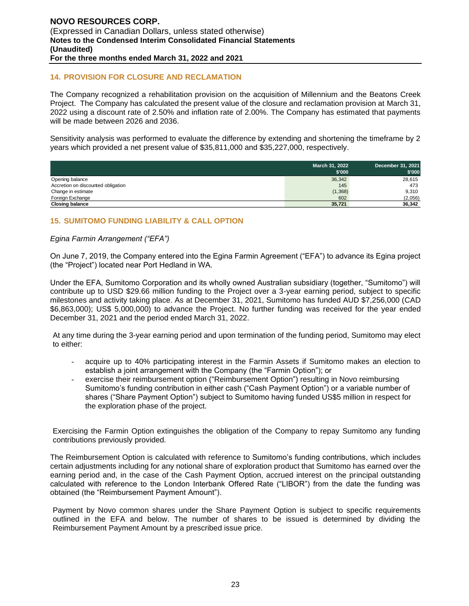#### **14. PROVISION FOR CLOSURE AND RECLAMATION**

The Company recognized a rehabilitation provision on the acquisition of Millennium and the Beatons Creek Project. The Company has calculated the present value of the closure and reclamation provision at March 31, 2022 using a discount rate of 2.50% and inflation rate of 2.00%. The Company has estimated that payments will be made between 2026 and 2036.

Sensitivity analysis was performed to evaluate the difference by extending and shortening the timeframe by 2 years which provided a net present value of \$35,811,000 and \$35,227,000, respectively.

|                                    | March 31, 2022<br>\$'000 | December 31, 2021<br>\$'000 |
|------------------------------------|--------------------------|-----------------------------|
| Opening balance                    | 36,342                   | 28,615                      |
| Accretion on discounted obligation | 145                      | 473                         |
| Change in estimate                 | (1, 368)                 | 9,310                       |
| Foreign Exchange                   | 602                      | (2,056)                     |
| <b>Closing balance</b>             | 35,721                   | 36,342                      |

# **15. SUMITOMO FUNDING LIABILITY & CALL OPTION**

#### *Egina Farmin Arrangement ("EFA")*

On June 7, 2019, the Company entered into the Egina Farmin Agreement ("EFA") to advance its Egina project (the "Project") located near Port Hedland in WA.

Under the EFA, Sumitomo Corporation and its wholly owned Australian subsidiary (together, "Sumitomo") will contribute up to USD \$29.66 million funding to the Project over a 3-year earning period, subject to specific milestones and activity taking place. As at December 31, 2021, Sumitomo has funded AUD \$7,256,000 (CAD \$6,863,000); US\$ 5,000,000) to advance the Project. No further funding was received for the year ended December 31, 2021 and the period ended March 31, 2022.

At any time during the 3-year earning period and upon termination of the funding period, Sumitomo may elect to either:

- acquire up to 40% participating interest in the Farmin Assets if Sumitomo makes an election to establish a joint arrangement with the Company (the "Farmin Option"); or
- exercise their reimbursement option ("Reimbursement Option") resulting in Novo reimbursing Sumitomo's funding contribution in either cash ("Cash Payment Option") or a variable number of shares ("Share Payment Option") subject to Sumitomo having funded US\$5 million in respect for the exploration phase of the project.

Exercising the Farmin Option extinguishes the obligation of the Company to repay Sumitomo any funding contributions previously provided.

The Reimbursement Option is calculated with reference to Sumitomo's funding contributions, which includes certain adjustments including for any notional share of exploration product that Sumitomo has earned over the earning period and, in the case of the Cash Payment Option, accrued interest on the principal outstanding calculated with reference to the London Interbank Offered Rate ("LIBOR") from the date the funding was obtained (the "Reimbursement Payment Amount").

Payment by Novo common shares under the Share Payment Option is subject to specific requirements outlined in the EFA and below. The number of shares to be issued is determined by dividing the Reimbursement Payment Amount by a prescribed issue price.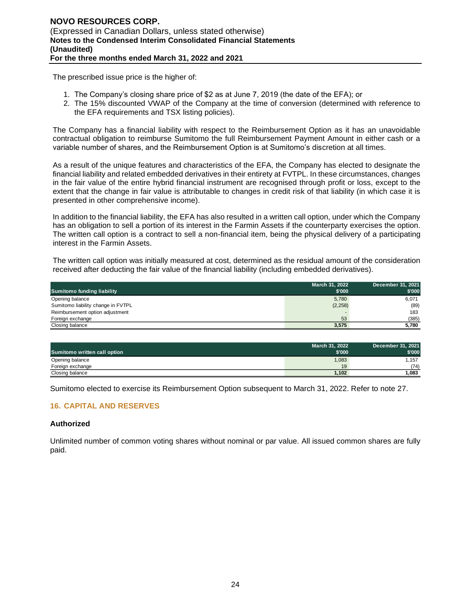The prescribed issue price is the higher of:

- 1. The Company's closing share price of \$2 as at June 7, 2019 (the date of the EFA); or
- 2. The 15% discounted VWAP of the Company at the time of conversion (determined with reference to the EFA requirements and TSX listing policies).

The Company has a financial liability with respect to the Reimbursement Option as it has an unavoidable contractual obligation to reimburse Sumitomo the full Reimbursement Payment Amount in either cash or a variable number of shares, and the Reimbursement Option is at Sumitomo's discretion at all times.

As a result of the unique features and characteristics of the EFA, the Company has elected to designate the financial liability and related embedded derivatives in their entirety at FVTPL. In these circumstances, changes in the fair value of the entire hybrid financial instrument are recognised through profit or loss, except to the extent that the change in fair value is attributable to changes in credit risk of that liability (in which case it is presented in other comprehensive income).

In addition to the financial liability, the EFA has also resulted in a written call option, under which the Company has an obligation to sell a portion of its interest in the Farmin Assets if the counterparty exercises the option. The written call option is a contract to sell a non-financial item, being the physical delivery of a participating interest in the Farmin Assets.

The written call option was initially measured at cost, determined as the residual amount of the consideration received after deducting the fair value of the financial liability (including embedded derivatives).

|                                    | March 31, 2022 | December 31, 2021 |
|------------------------------------|----------------|-------------------|
| <b>Sumitomo funding liability</b>  | \$'000         | \$'000            |
| Opening balance                    | 5,780          | 6,071             |
| Sumitomo liability change in FVTPL | (2, 258)       | (89)              |
| Reimbursement option adjustment    |                | 183               |
| Foreign exchange                   | 53             | (385)             |
| Closing balance                    | 3,575          | 5,780             |

|                              | March 31, 2022 | December 31, 2021 |
|------------------------------|----------------|-------------------|
| Sumitomo written call option | \$'000         | \$'000            |
| Opening balance              | 1,083          | 1.157             |
| Foreign exchange             | 19             | (74)              |
| Closing balance              | 1.102          | 1,083             |

Sumitomo elected to exercise its Reimbursement Option subsequent to March 31, 2022. Refer to note 27.

# **16. CAPITAL AND RESERVES**

#### **Authorized**

Unlimited number of common voting shares without nominal or par value. All issued common shares are fully paid.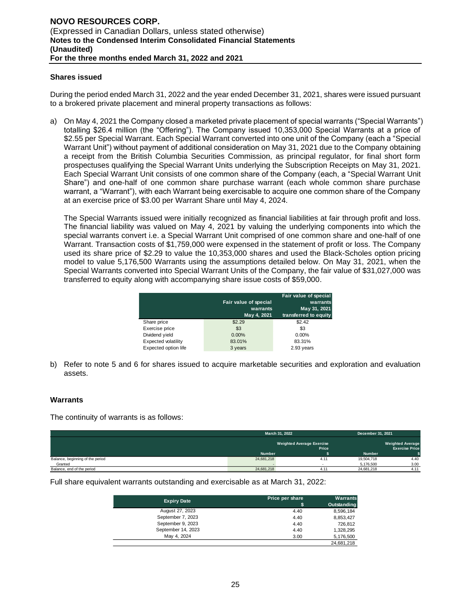#### **Shares issued**

During the period ended March 31, 2022 and the year ended December 31, 2021, shares were issued pursuant to a brokered private placement and mineral property transactions as follows:

a) On May 4, 2021 the Company closed a marketed private placement of special warrants ("Special Warrants") totalling \$26.4 million (the "Offering"). The Company issued 10,353,000 Special Warrants at a price of \$2.55 per Special Warrant. Each Special Warrant converted into one unit of the Company (each a "Special Warrant Unit") without payment of additional consideration on May 31, 2021 due to the Company obtaining a receipt from the British Columbia Securities Commission, as principal regulator, for final short form prospectuses qualifying the Special Warrant Units underlying the Subscription Receipts on May 31, 2021. Each Special Warrant Unit consists of one common share of the Company (each, a "Special Warrant Unit Share") and one-half of one common share purchase warrant (each whole common share purchase warrant, a "Warrant"), with each Warrant being exercisable to acquire one common share of the Company at an exercise price of \$3.00 per Warrant Share until May 4, 2024.

The Special Warrants issued were initially recognized as financial liabilities at fair through profit and loss. The financial liability was valued on May 4, 2021 by valuing the underlying components into which the special warrants convert i.e. a Special Warrant Unit comprised of one common share and one-half of one Warrant. Transaction costs of \$1,759,000 were expensed in the statement of profit or loss. The Company used its share price of \$2.29 to value the 10,353,000 shares and used the Black-Scholes option pricing model to value 5,176,500 Warrants using the assumptions detailed below. On May 31, 2021, when the Special Warrants converted into Special Warrant Units of the Company, the fair value of \$31,027,000 was transferred to equity along with accompanying share issue costs of \$59,000.

|                      | Fair value of special<br>warrants<br>May 4, 2021 | Fair value of special<br>warrants<br>May 31, 2021<br>transferred to equity |
|----------------------|--------------------------------------------------|----------------------------------------------------------------------------|
| Share price          | \$2.29                                           | \$2.42                                                                     |
| Exercise price       | \$3                                              | \$3                                                                        |
| Dividend yield       | 0.00%                                            | 0.00%                                                                      |
| Expected volatility  | 83.01%                                           | 83.31%                                                                     |
| Expected option life | 3 years                                          | 2.93 years                                                                 |

b) Refer to note 5 and 6 for shares issued to acquire marketable securities and exploration and evaluation assets.

#### **Warrants**

The continuity of warrants is as follows:

|                                  | March 31, 2022 |                                           | December 31, 2021 |                                                  |
|----------------------------------|----------------|-------------------------------------------|-------------------|--------------------------------------------------|
|                                  |                | <b>Weighted Average Exercise</b><br>Price |                   | <b>Weighted Average</b><br><b>Exercise Price</b> |
|                                  | <b>Number</b>  |                                           | <b>Number</b>     |                                                  |
| Balance, beginning of the period | 24,681,218     | 4.11                                      | 19,504,718        | 4.40                                             |
| Granted                          |                |                                           | 5,176,500         | 3.00                                             |
| Balance, end of the period       | 24,681,218     | 4.1'                                      | 24.681.218        | 4.11                                             |

Full share equivalent warrants outstanding and exercisable as at March 31, 2022:

| <b>Expiry Date</b> | Price per share | <b>Warrants</b><br><b>Outstanding</b> |
|--------------------|-----------------|---------------------------------------|
| August 27, 2023    | 4.40            | 8,596,184                             |
| September 7, 2023  | 4.40            | 8,853,427                             |
| September 9, 2023  | 4.40            | 726,812                               |
| September 14, 2023 | 4.40            | 1,328,295                             |
| May 4, 2024        | 3.00            | 5,176,500                             |
|                    |                 | 24.681.218                            |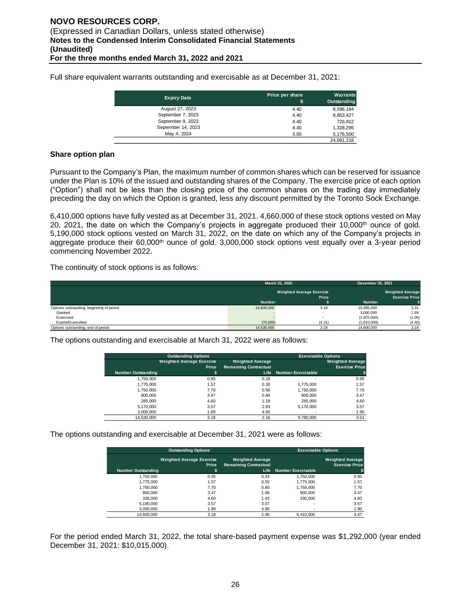Full share equivalent warrants outstanding and exercisable as at December 31, 2021:

| <b>Expiry Date</b> | Price per share<br>\$ | Warrants<br>Outstanding |
|--------------------|-----------------------|-------------------------|
| August 27, 2023    | 4.40                  | 8,596,184               |
| September 7, 2023  | 4.40                  | 8,853,427               |
| September 9, 2023  | 4.40                  | 726.812                 |
| September 14, 2023 | 4.40                  | 1.328.295               |
| May 4, 2024        | 3.00                  | 5,176,500               |
|                    |                       | 24.681.218              |

#### **Share option plan**

Pursuant to the Company's Plan, the maximum number of common shares which can be reserved for issuance under the Plan is 10% of the issued and outstanding shares of the Company. The exercise price of each option ("Option") shall not be less than the closing price of the common shares on the trading day immediately preceding the day on which the Option is granted, less any discount permitted by the Toronto Sock Exchange.

6,410,000 options have fully vested as at December 31, 2021. 4,660,000 of these stock options vested on May 20, 2021, the date on which the Company's projects in aggregate produced their 10,000<sup>th</sup> ounce of gold. 5,190,000 stock options vested on March 31, 2022, on the date on which any of the Company's projects in aggregate produce their  $60,000<sup>th</sup>$  ounce of gold.  $3,000,000$  stock options vest equally over a 3-year period commencing November 2022.

The continuity of stock options is as follows:

|                                          |                                  | March 31, 2022           | December 31, 2021 |                         |
|------------------------------------------|----------------------------------|--------------------------|-------------------|-------------------------|
|                                          | <b>Weighted Average Exercise</b> |                          |                   | <b>Weighted Average</b> |
|                                          |                                  | Price                    |                   | <b>Exercise Price</b>   |
|                                          | <b>Number</b>                    |                          | <b>Number</b>     |                         |
| Options outstanding, beginning of period | 14,600,000                       | 3.18                     | 15,085,000        | 3.31                    |
| Granted                                  |                                  | $\overline{\phantom{0}}$ | 3.000.000         | 1.89                    |
| Exercised                                |                                  | $\overline{\phantom{a}}$ | (1,875,000)       | (1.05)                  |
| Expired/cancelled                        | (70,000)                         | (4.31)                   | (1,610,000)       | (4.46)                  |
| Options outstanding, end of period       | 14,530,000                       | 3.18                     | 14,600,000        | 3.18                    |

The options outstanding and exercisable at March 31, 2022 were as follows:

|                           | <b>Outstanding Options</b>       |                              | <b>Exercisable Options</b> |                         |
|---------------------------|----------------------------------|------------------------------|----------------------------|-------------------------|
|                           | <b>Weighted Average Exercise</b> | <b>Weighted Average</b>      |                            | <b>Weighted Average</b> |
|                           | Price                            | <b>Remaining Contractual</b> |                            | <b>Exercise Price</b>   |
| <b>Number Outstanding</b> | \$                               | <b>Life</b>                  | <b>Number Exercisable</b>  |                         |
| 1,750,000                 | 0.95                             | 0.18                         | ٠                          | 0.95                    |
| 1.775.000                 | 1.57                             | 0.30                         | 1.775.000                  | 1.57                    |
| 1.750.000                 | 7.70                             | 0.56                         | 1.750.000                  | 7.70                    |
| 800,000                   | 3.47                             | 0.84                         | 800.000                    | 3.47                    |
| 285,000                   | 4.60                             | 1.18                         | 285,000                    | 4.60                    |
| 5,170,000                 | 3.57                             | 2.83                         | 5.170.000                  | 3.57                    |
| 3.000.000                 | 1.89                             | 4.65                         | ۰                          | 1.90                    |
| 14.530.000                | 3.18                             | 2.16                         | 9.780.000                  | 3.51                    |

The options outstanding and exercisable at December 31, 2021 were as follows:

| <b>Outstanding Options</b> |                                           | <b>Exercisable Options</b>                              |                           |                                                  |
|----------------------------|-------------------------------------------|---------------------------------------------------------|---------------------------|--------------------------------------------------|
|                            | <b>Weighted Average Exercise</b><br>Price | <b>Weighted Average</b><br><b>Remaining Contractual</b> |                           | <b>Weighted Average</b><br><b>Exercise Price</b> |
| <b>Number Outstanding</b>  | \$                                        | Life                                                    | <b>Number Exercisable</b> |                                                  |
| 1.750.000                  | 0.95                                      | 0.43                                                    | 1.750.000                 | 0.95                                             |
| 1.775.000                  | 1.57                                      | 0.55                                                    | 1.775.000                 | 1.57                                             |
| 1.750.000                  | 7.70                                      | 0.80                                                    | 1.750.000                 | 7.70                                             |
| 800,000                    | 3.47                                      | 1.08                                                    | 800,000                   | 3.47                                             |
| 335,000                    | 4.60                                      | 1.43                                                    | 335.000                   | 4.60                                             |
| 5.190.000                  | 3.57                                      | 3.07                                                    |                           | 3.57                                             |
| 3.000.000                  | 1.89                                      | 4.90                                                    |                           | 1.90                                             |
| 14.600.000                 | 3.18                                      | 2.40                                                    | 6.410.000                 | 3.47                                             |

For the period ended March 31, 2022, the total share-based payment expense was \$1,292,000 (year ended December 31, 2021: \$10,015,000).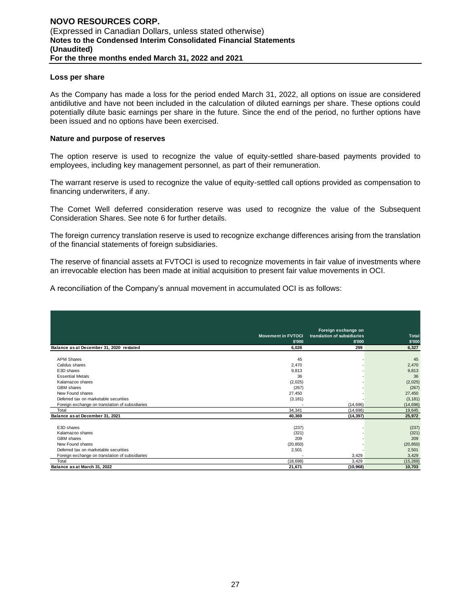#### **Loss per share**

As the Company has made a loss for the period ended March 31, 2022, all options on issue are considered antidilutive and have not been included in the calculation of diluted earnings per share. These options could potentially dilute basic earnings per share in the future. Since the end of the period, no further options have been issued and no options have been exercised.

#### **Nature and purpose of reserves**

The option reserve is used to recognize the value of equity-settled share-based payments provided to employees, including key management personnel, as part of their remuneration.

The warrant reserve is used to recognize the value of equity-settled call options provided as compensation to financing underwriters, if any.

The Comet Well deferred consideration reserve was used to recognize the value of the Subsequent Consideration Shares. See note 6 for further details.

The foreign currency translation reserve is used to recognize exchange differences arising from the translation of the financial statements of foreign subsidiaries.

The reserve of financial assets at FVTOCI is used to recognize movements in fair value of investments where an irrevocable election has been made at initial acquisition to present fair value movements in OCI.

A reconciliation of the Company's annual movement in accumulated OCI is as follows:

|                                                 | <b>Movement in FVTOCI</b> | Foreign exchange on<br>translation of subsidiaries | Total     |
|-------------------------------------------------|---------------------------|----------------------------------------------------|-----------|
|                                                 | \$'000                    | \$'000                                             | \$'000    |
| Balance as at December 31, 2020 restated        | 6.028                     | 299                                                | 6,327     |
|                                                 |                           |                                                    |           |
| <b>APM Shares</b>                               | 45                        |                                                    | 45        |
| Calidus shares                                  | 2,470                     |                                                    | 2,470     |
| E3D shares                                      | 9,813                     |                                                    | 9,813     |
| <b>Essential Metals</b>                         | 36                        |                                                    | 36        |
| Kalamazoo shares                                | (2,025)                   |                                                    | (2,025)   |
| <b>GBM</b> shares                               | (267)                     |                                                    | (267)     |
| New Found shares                                | 27,450                    |                                                    | 27,450    |
| Deferred tax on marketable securities           | (3, 181)                  |                                                    | (3, 181)  |
| Foreign exchange on translation of subsidiaries |                           | (14, 696)                                          | (14, 696) |
| Total                                           | 34,341                    | (14,696)                                           | 19,645    |
| Balance as at December 31, 2021                 | 40,369                    | (14, 397)                                          | 25,972    |
|                                                 |                           |                                                    |           |
| E3D shares                                      | (237)                     |                                                    | (237)     |
| Kalamazoo shares                                | (321)                     |                                                    | (321)     |
| <b>GBM</b> shares                               | 209                       |                                                    | 209       |
| New Found shares                                | (20, 850)                 |                                                    | (20, 850) |
| Deferred tax on marketable securities           | 2,501                     |                                                    | 2,501     |
| Foreign exchange on translation of subsidiaries |                           | 3,429                                              | 3,429     |
| Total                                           | (18, 698)                 | 3.429                                              | (15, 269) |
| Balance as at March 31, 2022                    | 21,671                    | (10, 968)                                          | 10,703    |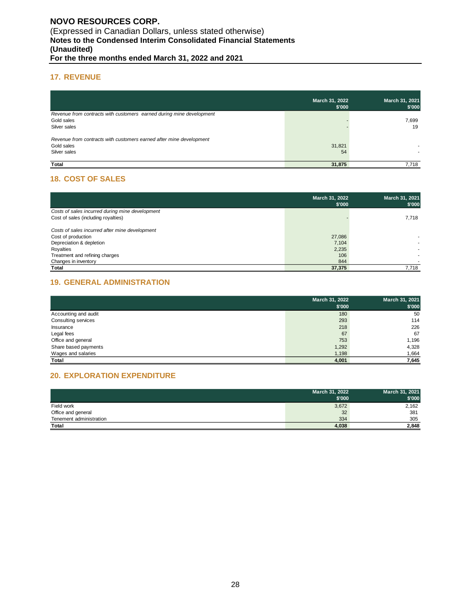#### **17. REVENUE**

|                                                                      | March 31, 2022<br>\$'000 | March 31, 2021<br>\$'000 |
|----------------------------------------------------------------------|--------------------------|--------------------------|
| Revenue from contracts with customers earned during mine development |                          |                          |
| Gold sales                                                           |                          | 7,699                    |
| Silver sales                                                         |                          | 19                       |
| Revenue from contracts with customers earned after mine development  |                          |                          |
| Gold sales                                                           | 31,821                   |                          |
| Silver sales                                                         | 54                       |                          |
| Total                                                                | 31,875                   | 7.718                    |

# **18. COST OF SALES**

|                                                 | March 31, 2022<br>\$'000 | March 31, 2021<br>\$'000 |
|-------------------------------------------------|--------------------------|--------------------------|
| Costs of sales incurred during mine development |                          |                          |
| Cost of sales (including royalties)             |                          | 7,718                    |
| Costs of sales incurred after mine development  |                          |                          |
| Cost of production                              | 27,086                   |                          |
| Depreciation & depletion                        | 7,104                    |                          |
| Royalties                                       | 2,235                    |                          |
| Treatment and refining charges                  | 106                      |                          |
| Changes in inventory                            | 844                      |                          |
| Total                                           | 37,375                   | 7.718                    |

# **19. GENERAL ADMINISTRATION**

|                      | March 31, 2022<br>\$'000 | March 31, 2021<br>\$'000 |
|----------------------|--------------------------|--------------------------|
| Accounting and audit | 180                      | 50                       |
| Consulting services  | 293                      | 114                      |
| Insurance            | 218                      | 226                      |
| Legal fees           | 67                       | 67                       |
| Office and general   | 753                      | 1,196                    |
| Share based payments | 1,292                    | 4,328                    |
| Wages and salaries   | 1,198                    | 1,664                    |
| Total                | 4,001                    | 7,645                    |

# **20. EXPLORATION EXPENDITURE**

|                         | March 31, 2022 | March 31, 2021 |
|-------------------------|----------------|----------------|
|                         | \$'000         | \$'000         |
| Field work              | 3,672          | 2,162          |
| Office and general      | 32             | 381            |
| Tenement administration | 334            | 305            |
| Total                   | 4,038          | 2,848          |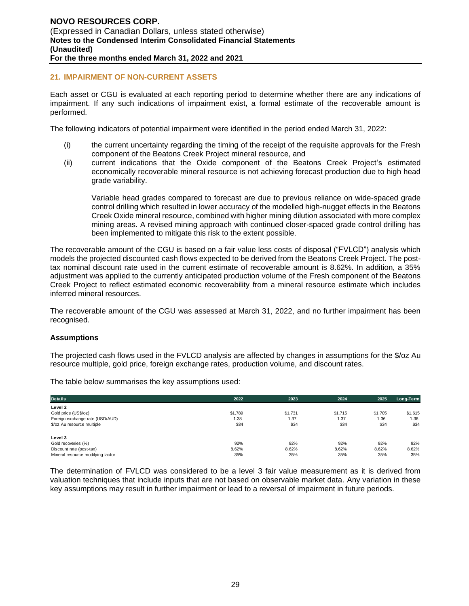#### **21. IMPAIRMENT OF NON-CURRENT ASSETS**

Each asset or CGU is evaluated at each reporting period to determine whether there are any indications of impairment. If any such indications of impairment exist, a formal estimate of the recoverable amount is performed.

The following indicators of potential impairment were identified in the period ended March 31, 2022:

- (i) the current uncertainty regarding the timing of the receipt of the requisite approvals for the Fresh component of the Beatons Creek Project mineral resource, and
- (ii) current indications that the Oxide component of the Beatons Creek Project's estimated economically recoverable mineral resource is not achieving forecast production due to high head grade variability.

Variable head grades compared to forecast are due to previous reliance on wide-spaced grade control drilling which resulted in lower accuracy of the modelled high-nugget effects in the Beatons Creek Oxide mineral resource, combined with higher mining dilution associated with more complex mining areas. A revised mining approach with continued closer-spaced grade control drilling has been implemented to mitigate this risk to the extent possible.

The recoverable amount of the CGU is based on a fair value less costs of disposal ("FVLCD") analysis which models the projected discounted cash flows expected to be derived from the Beatons Creek Project. The posttax nominal discount rate used in the current estimate of recoverable amount is 8.62%. In addition, a 35% adjustment was applied to the currently anticipated production volume of the Fresh component of the Beatons Creek Project to reflect estimated economic recoverability from a mineral resource estimate which includes inferred mineral resources.

The recoverable amount of the CGU was assessed at March 31, 2022, and no further impairment has been recognised.

#### **Assumptions**

The projected cash flows used in the FVLCD analysis are affected by changes in assumptions for the \$/oz Au resource multiple, gold price, foreign exchange rates, production volume, and discount rates.

The table below summarises the key assumptions used:

| <b>Details</b>                                          | 2022            | 2023            | 2024            | 2025            | Long-Term       |
|---------------------------------------------------------|-----------------|-----------------|-----------------|-----------------|-----------------|
| Level 2                                                 |                 |                 |                 |                 |                 |
| Gold price (US\$/oz)<br>Foreign exchange rate (USD/AUD) | \$1,789<br>1.38 | \$1,731<br>1.37 | \$1.715<br>1.37 | \$1.705<br>1.36 | \$1,615<br>1.36 |
| \$/oz Au resource multiple                              | \$34            | \$34            | \$34            | \$34            | \$34            |
|                                                         |                 |                 |                 |                 |                 |
| Level 3                                                 |                 |                 |                 |                 |                 |
| Gold recoveries (%)                                     | 92%             | 92%             | 92%             | 92%             | 92%             |
| Discount rate (post-tax)                                | 8.62%           | 8.62%           | 8.62%           | 8.62%           | 8.62%           |
| Mineral resource modifying factor                       | 35%             | 35%             | 35%             | 35%             | 35%             |

The determination of FVLCD was considered to be a level 3 fair value measurement as it is derived from valuation techniques that include inputs that are not based on observable market data. Any variation in these key assumptions may result in further impairment or lead to a reversal of impairment in future periods.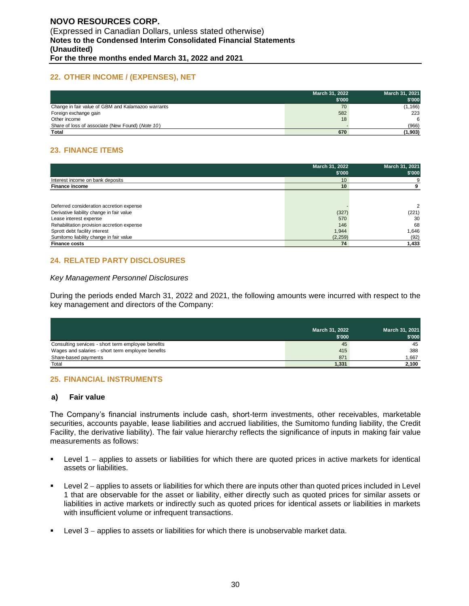#### **22. OTHER INCOME / (EXPENSES), NET**

|                                                    | March 31, 2022<br>\$'000 | March 31, 2021<br>\$'000 |
|----------------------------------------------------|--------------------------|--------------------------|
| Change in fair value of GBM and Kalamazoo warrants | 70                       | (1, 166)                 |
| Foreign exchange gain                              | 582                      | 223                      |
| Other income                                       | 18                       |                          |
| Share of loss of associate (New Found) (Note 10)   |                          | (966)                    |
| Total                                              | 670                      | (1, 903)                 |

# **23. FINANCE ITEMS**

|                                            | March 31, 2022<br>\$'000 | March 31, 2021<br>\$'000 |
|--------------------------------------------|--------------------------|--------------------------|
| Interest income on bank deposits           | 10                       |                          |
| <b>Finance income</b>                      | 10                       |                          |
|                                            |                          |                          |
| Deferred consideration accretion expense   |                          | 2                        |
| Derivative liability change in fair value  | (327)                    | (221)                    |
| Lease interest expense                     | 570                      | 30                       |
| Rehabilitation provision accretion expense | 146                      | 68                       |
| Sprott debt facility interest              | 1,944                    | 1,646                    |
| Sumitomo liability change in fair value    | (2,259)                  | (92)                     |
| <b>Finance costs</b>                       | 74                       | 1,433                    |

#### **24. RELATED PARTY DISCLOSURES**

#### *Key Management Personnel Disclosures*

During the periods ended March 31, 2022 and 2021, the following amounts were incurred with respect to the key management and directors of the Company:

|                                                    | March 31, 2022<br>\$'000 | March 31, 2021<br>\$'000 |
|----------------------------------------------------|--------------------------|--------------------------|
| Consulting services - short term employee benefits | 45                       | 45                       |
| Wages and salaries - short term employee benefits  | 415                      | 388                      |
| Share-based payments                               | 871                      | 1.667                    |
| Total                                              | 1,331                    | 2,100                    |

#### **25. FINANCIAL INSTRUMENTS**

#### **a) Fair value**

The Company's financial instruments include cash, short-term investments, other receivables, marketable securities, accounts payable, lease liabilities and accrued liabilities, the Sumitomo funding liability, the Credit Facility, the derivative liability). The fair value hierarchy reflects the significance of inputs in making fair value measurements as follows:

- Level 1 applies to assets or liabilities for which there are quoted prices in active markets for identical assets or liabilities.
- Level 2 applies to assets or liabilities for which there are inputs other than quoted prices included in Level 1 that are observable for the asset or liability, either directly such as quoted prices for similar assets or liabilities in active markets or indirectly such as quoted prices for identical assets or liabilities in markets with insufficient volume or infrequent transactions.
- Level 3 − applies to assets or liabilities for which there is unobservable market data.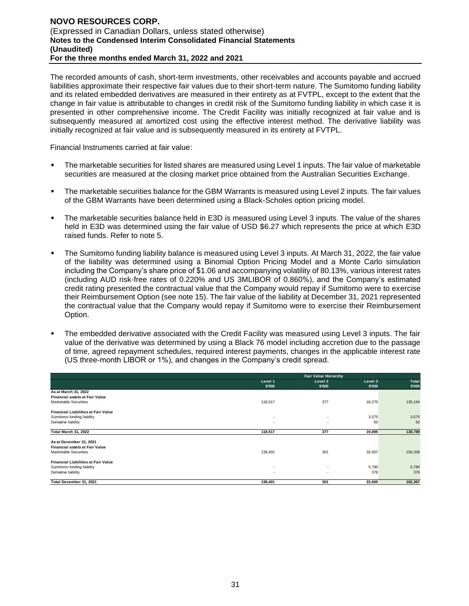The recorded amounts of cash, short-term investments, other receivables and accounts payable and accrued liabilities approximate their respective fair values due to their short-term nature. The Sumitomo funding liability and its related embedded derivatives are measured in their entirety as at FVTPL, except to the extent that the change in fair value is attributable to changes in credit risk of the Sumitomo funding liability in which case it is presented in other comprehensive income. The Credit Facility was initially recognized at fair value and is subsequently measured at amortized cost using the effective interest method. The derivative liability was initially recognized at fair value and is subsequently measured in its entirety at FVTPL.

Financial Instruments carried at fair value:

- The marketable securities for listed shares are measured using Level 1 inputs. The fair value of marketable securities are measured at the closing market price obtained from the Australian Securities Exchange.
- **•** The marketable securities balance for the GBM Warrants is measured using Level 2 inputs. The fair values of the GBM Warrants have been determined using a Black-Scholes option pricing model.
- The marketable securities balance held in E3D is measured using Level 3 inputs. The value of the shares held in E3D was determined using the fair value of USD \$6.27 which represents the price at which E3D raised funds. Refer to note 5.
- The Sumitomo funding liability balance is measured using Level 3 inputs. At March 31, 2022, the fair value of the liability was determined using a Binomial Option Pricing Model and a Monte Carlo simulation including the Company's share price of \$1.06 and accompanying volatility of 80.13%, various interest rates (including AUD risk-free rates of 0.220% and US 3MLIBOR of 0.860%), and the Company's estimated credit rating presented the contractual value that the Company would repay if Sumitomo were to exercise their Reimbursement Option (see note 15). The fair value of the liability at December 31, 2021 represented the contractual value that the Company would repay if Sumitomo were to exercise their Reimbursement Option.
- The embedded derivative associated with the Credit Facility was measured using Level 3 inputs. The fair value of the derivative was determined by using a Black 76 model including accretion due to the passage of time, agreed repayment schedules, required interest payments, changes in the applicable interest rate (US three-month LIBOR or 1%), and changes in the Company's credit spread.

|                                                                                                  |                                                      | <b>Fair Value Hierarchy</b>                          |                   |                 |  |
|--------------------------------------------------------------------------------------------------|------------------------------------------------------|------------------------------------------------------|-------------------|-----------------|--|
|                                                                                                  | Level 1<br>\$'000                                    | Level 2<br>\$'000                                    | Level 3<br>\$'000 | Total<br>\$'000 |  |
| As at March 31, 2022<br><b>Financial assets at Fair Value</b><br>Marketable Securities           | 118,517                                              | 377                                                  | 16,270            | 135,164         |  |
| <b>Financial Liabilities at Fair Value</b><br>Sumitomo funding liability<br>Derivative liability | $\overline{\phantom{a}}$<br>$\overline{\phantom{a}}$ | $\overline{\phantom{a}}$<br>$\overline{\phantom{a}}$ | 3,575<br>50       | 3,575<br>50     |  |
| Total March 31, 2022                                                                             | 118,517                                              | 377                                                  | 19,895            | 138,789         |  |
| As at December 31, 2021<br><b>Financial assets at Fair Value</b><br>Marketable Securities        | 139,401                                              | 301                                                  | 16,507            | 156,209         |  |
| <b>Financial Liabilities at Fair Value</b><br>Sumitomo funding liability<br>Derivative liability | $\sim$<br>$\overline{\phantom{a}}$                   | $\overline{\phantom{a}}$<br>$\overline{\phantom{a}}$ | 5,780<br>378      | 5,780<br>378    |  |
| Total December 31, 2021                                                                          | 139,401                                              | 301                                                  | 22,665            | 162,367         |  |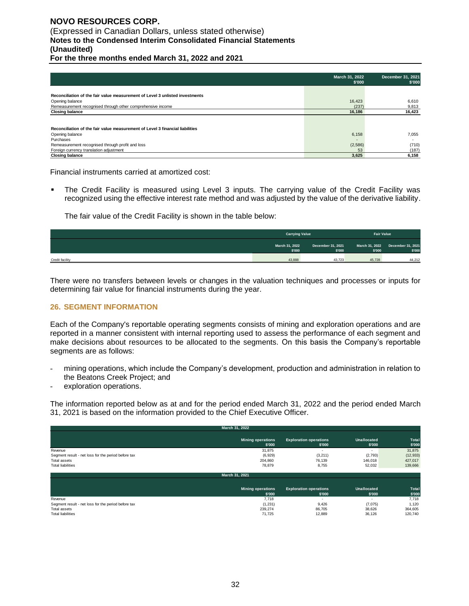# **NOVO RESOURCES CORP.**  (Expressed in Canadian Dollars, unless stated otherwise) **Notes to the Condensed Interim Consolidated Financial Statements (Unaudited)**

**For the three months ended March 31, 2022 and 2021**

|                                                                               | March 31, 2022<br>\$'000 | December 31, 2021<br>\$'000 |
|-------------------------------------------------------------------------------|--------------------------|-----------------------------|
|                                                                               |                          |                             |
| Reconciliation of the fair value measurement of Level 3 unlisted investments  |                          |                             |
| Opening balance                                                               | 16,423                   | 6,610                       |
| Remeasurement recognised through other comprehensive income                   | (237)                    | 9,813                       |
| <b>Closing balance</b>                                                        | 16.186                   | 16,423                      |
|                                                                               |                          |                             |
| Reconciliation of the fair value measurement of Level 3 financial liabilities |                          |                             |
| Opening balance                                                               | 6,158                    | 7.055                       |
| Purchases                                                                     |                          |                             |
| Remeasurement recognised through profit and loss                              | (2,586)                  | (710)                       |
| Foreign currency translation adjustment                                       | 53                       | (187)                       |
| <b>Closing balance</b>                                                        | 3.625                    | 6,158                       |

Financial instruments carried at amortized cost:

The Credit Facility is measured using Level 3 inputs. The carrying value of the Credit Facility was recognized using the effective interest rate method and was adjusted by the value of the derivative liability.

The fair value of the Credit Facility is shown in the table below:

|                 | <b>Carrying Value</b>    |                             |                          | <b>Fair Value</b>           |  |
|-----------------|--------------------------|-----------------------------|--------------------------|-----------------------------|--|
|                 | March 31, 2022<br>\$'000 | December 31, 2021<br>\$'000 | March 31, 2022<br>\$'000 | December 31, 2021<br>\$'000 |  |
| Credit facility | 43,888                   | 43.723                      | 45.728                   | 44.212                      |  |

There were no transfers between levels or changes in the valuation techniques and processes or inputs for determining fair value for financial instruments during the year.

#### **26. SEGMENT INFORMATION**

Each of the Company's reportable operating segments consists of mining and exploration operations and are reported in a manner consistent with internal reporting used to assess the performance of each segment and make decisions about resources to be allocated to the segments. On this basis the Company's reportable segments are as follows:

- mining operations, which include the Company's development, production and administration in relation to the Beatons Creek Project; and
- exploration operations.

The information reported below as at and for the period ended March 31, 2022 and the period ended March 31, 2021 is based on the information provided to the Chief Executive Officer.

|                                                     | March 31, 2022                     |                                         |                              |                 |
|-----------------------------------------------------|------------------------------------|-----------------------------------------|------------------------------|-----------------|
|                                                     | <b>Mining operations</b><br>\$'000 | <b>Exploration operations</b><br>\$'000 | Unallocated<br>\$'000        | Total<br>\$'000 |
| Revenue                                             | 31,875                             | ٠                                       | $\overline{\phantom{0}}$     | 31,875          |
| Segment result - net loss for the period before tax | (6,929)                            | (3, 211)                                | (2, 793)                     | (12, 933)       |
| Total assets                                        | 204.860                            | 76,139                                  | 146,018                      | 427,017         |
| <b>Total liabilities</b>                            | 78,879                             | 8,755                                   | 52,032                       | 139,666         |
|                                                     | March 31, 2021                     |                                         |                              |                 |
|                                                     | <b>Mining operations</b><br>\$'000 | <b>Exploration operations</b><br>\$'000 | <b>Unallocated</b><br>\$'000 | Total<br>\$'000 |
| Revenue                                             | 7,718                              | ٠                                       |                              | 7,718           |
| Segment result - net loss for the period before tax | (1, 231)                           | 9,426                                   | (7,075)                      | 1,120           |
| Total assets                                        | 239,274                            | 86,705                                  | 38,626                       | 364,605         |
| <b>Total liabilities</b>                            | 71.725                             | 12,889                                  | 36.126                       | 120.740         |